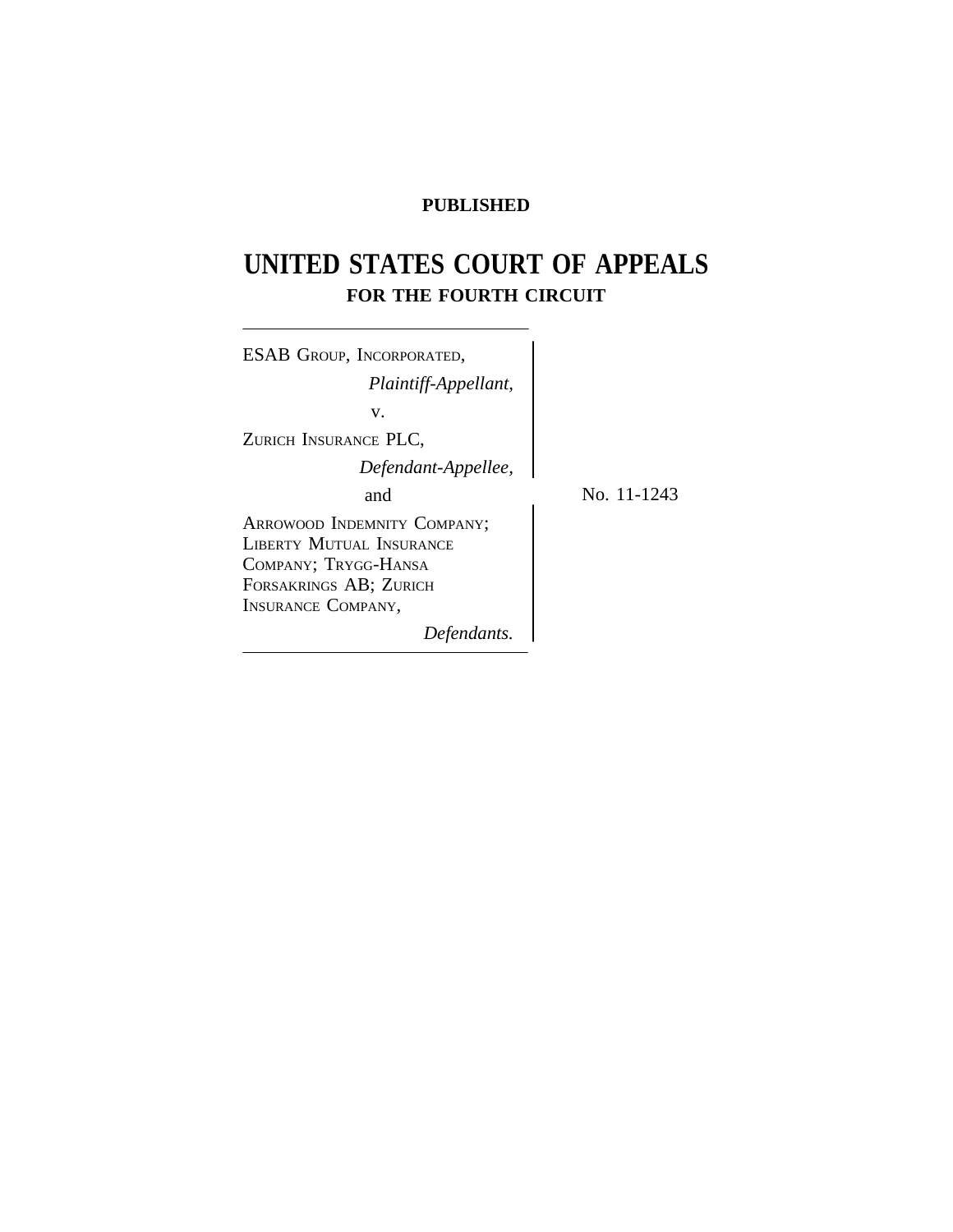## **PUBLISHED**

# **UNITED STATES COURT OF APPEALS FOR THE FOURTH CIRCUIT**

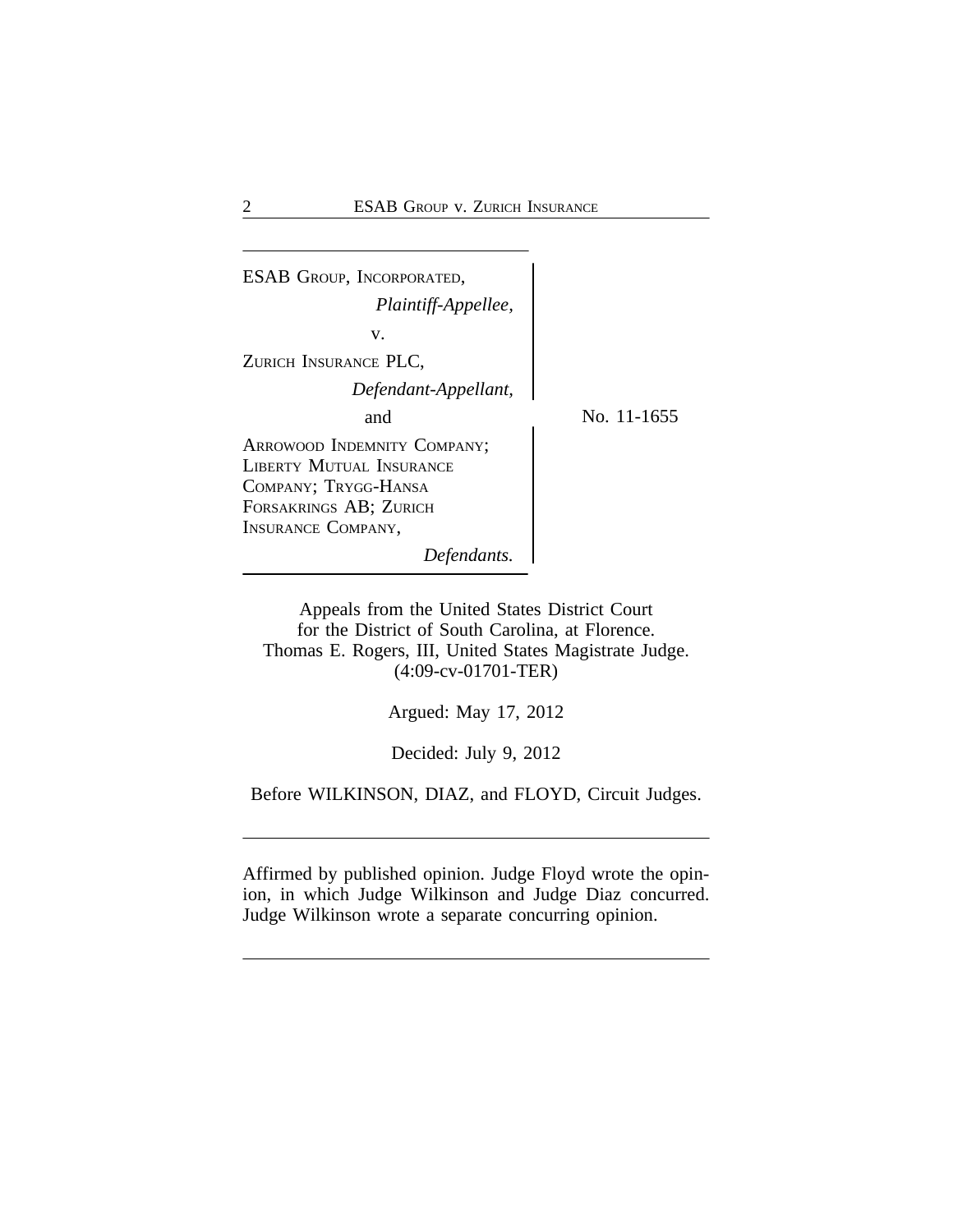| <b>ESAB GROUP, INCORPORATED,</b>                                                                                                       |             |
|----------------------------------------------------------------------------------------------------------------------------------------|-------------|
| Plaintiff-Appellee,                                                                                                                    |             |
| v.                                                                                                                                     |             |
| ZURICH INSURANCE PLC,                                                                                                                  |             |
| Defendant-Appellant,                                                                                                                   |             |
| and                                                                                                                                    | No. 11-1655 |
| ARROWOOD INDEMNITY COMPANY;<br>LIBERTY MUTUAL INSURANCE<br>COMPANY; TRYGG-HANSA<br>FORSAKRINGS AB; ZURICH<br><b>INSURANCE COMPANY,</b> |             |
| Defendants.                                                                                                                            |             |
|                                                                                                                                        |             |

Appeals from the United States District Court for the District of South Carolina, at Florence. Thomas E. Rogers, III, United States Magistrate Judge. (4:09-cv-01701-TER)

Argued: May 17, 2012

Decided: July 9, 2012

Before WILKINSON, DIAZ, and FLOYD, Circuit Judges.

Affirmed by published opinion. Judge Floyd wrote the opinion, in which Judge Wilkinson and Judge Diaz concurred. Judge Wilkinson wrote a separate concurring opinion.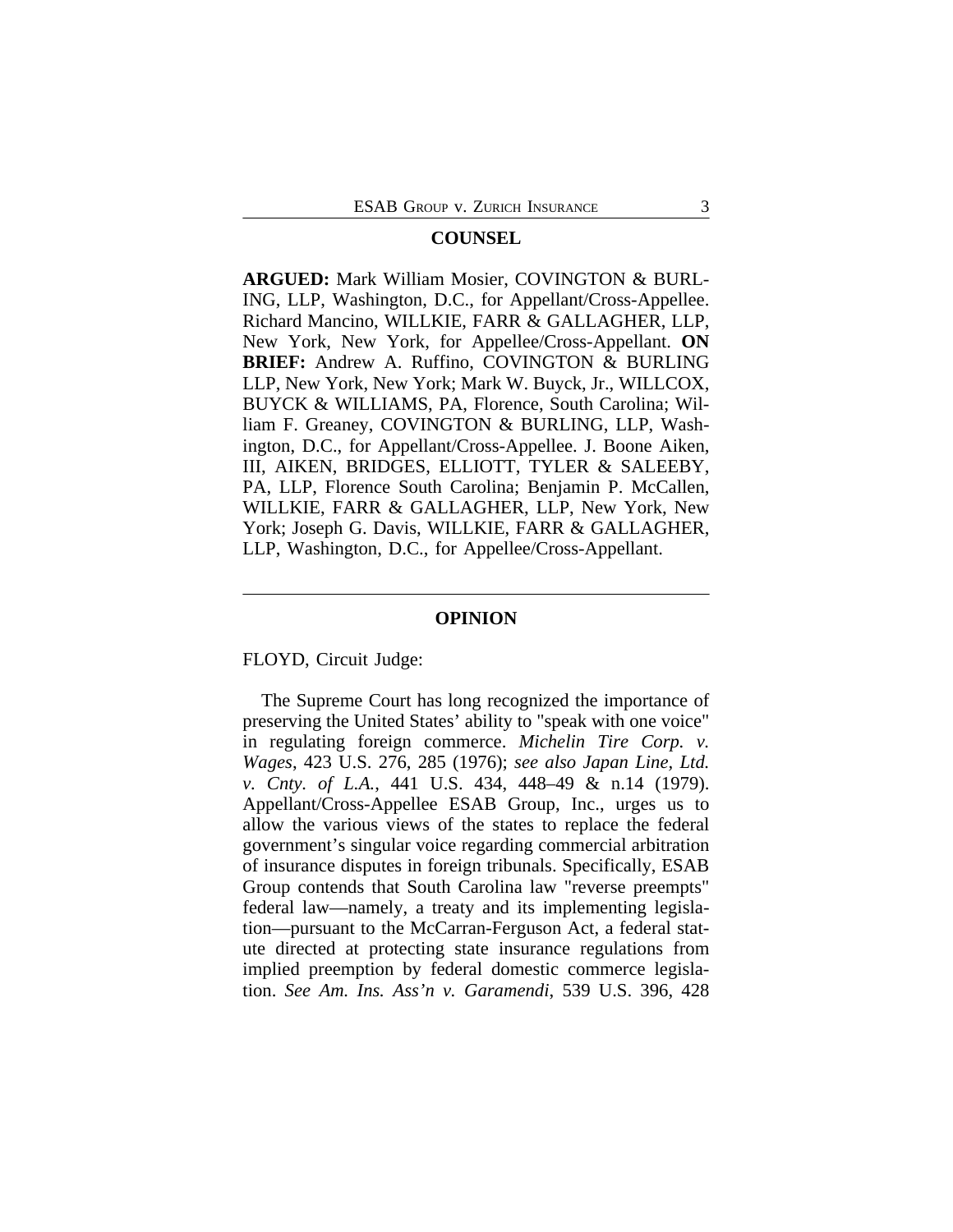## **COUNSEL**

**ARGUED:** Mark William Mosier, COVINGTON & BURL-ING, LLP, Washington, D.C., for Appellant/Cross-Appellee. Richard Mancino, WILLKIE, FARR & GALLAGHER, LLP, New York, New York, for Appellee/Cross-Appellant. **ON BRIEF:** Andrew A. Ruffino, COVINGTON & BURLING LLP, New York, New York; Mark W. Buyck, Jr., WILLCOX, BUYCK & WILLIAMS, PA, Florence, South Carolina; William F. Greaney, COVINGTON & BURLING, LLP, Washington, D.C., for Appellant/Cross-Appellee. J. Boone Aiken, III, AIKEN, BRIDGES, ELLIOTT, TYLER & SALEEBY, PA, LLP, Florence South Carolina; Benjamin P. McCallen, WILLKIE, FARR & GALLAGHER, LLP, New York, New York; Joseph G. Davis, WILLKIE, FARR & GALLAGHER, LLP, Washington, D.C., for Appellee/Cross-Appellant.

## **OPINION**

FLOYD, Circuit Judge:

The Supreme Court has long recognized the importance of preserving the United States' ability to "speak with one voice" in regulating foreign commerce. *Michelin Tire Corp. v. Wages*, 423 U.S. 276, 285 (1976); *see also Japan Line, Ltd. v. Cnty. of L.A.*, 441 U.S. 434, 448–49 & n.14 (1979). Appellant/Cross-Appellee ESAB Group, Inc., urges us to allow the various views of the states to replace the federal government's singular voice regarding commercial arbitration of insurance disputes in foreign tribunals. Specifically, ESAB Group contends that South Carolina law "reverse preempts" federal law—namely, a treaty and its implementing legislation—pursuant to the McCarran-Ferguson Act, a federal statute directed at protecting state insurance regulations from implied preemption by federal domestic commerce legislation. *See Am. Ins. Ass'n v. Garamendi*, 539 U.S. 396, 428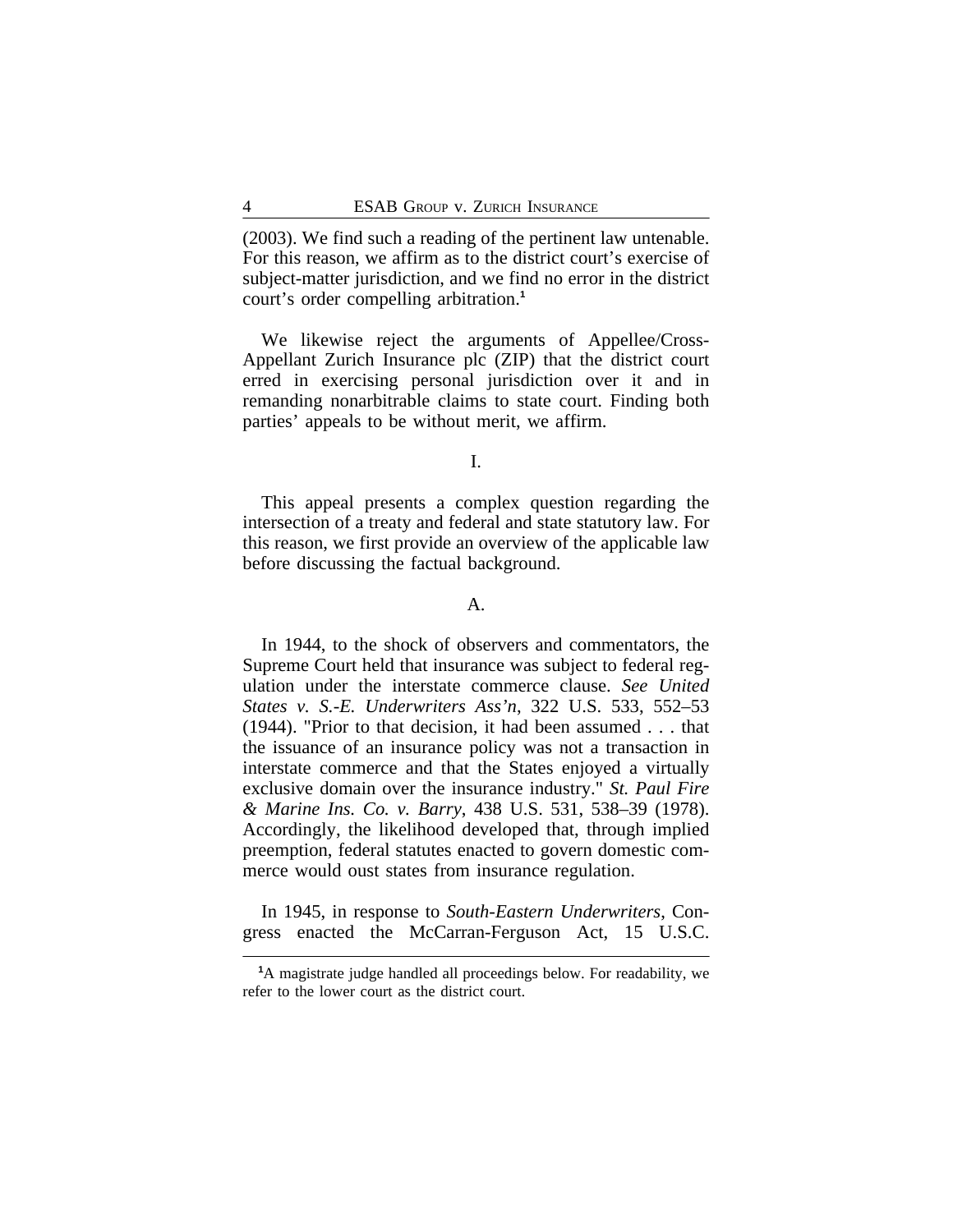(2003). We find such a reading of the pertinent law untenable. For this reason, we affirm as to the district court's exercise of subject-matter jurisdiction, and we find no error in the district court's order compelling arbitration.**<sup>1</sup>**

We likewise reject the arguments of Appellee/Cross-Appellant Zurich Insurance plc (ZIP) that the district court erred in exercising personal jurisdiction over it and in remanding nonarbitrable claims to state court. Finding both parties' appeals to be without merit, we affirm.

I.

This appeal presents a complex question regarding the intersection of a treaty and federal and state statutory law. For this reason, we first provide an overview of the applicable law before discussing the factual background.

## A.

In 1944, to the shock of observers and commentators, the Supreme Court held that insurance was subject to federal regulation under the interstate commerce clause. *See United States v. S.-E. Underwriters Ass'n*, 322 U.S. 533, 552–53 (1944). "Prior to that decision, it had been assumed . . . that the issuance of an insurance policy was not a transaction in interstate commerce and that the States enjoyed a virtually exclusive domain over the insurance industry." *St. Paul Fire & Marine Ins. Co. v. Barry*, 438 U.S. 531, 538–39 (1978). Accordingly, the likelihood developed that, through implied preemption, federal statutes enacted to govern domestic commerce would oust states from insurance regulation.

In 1945, in response to *South-Eastern Underwriters*, Congress enacted the McCarran-Ferguson Act, 15 U.S.C.

**<sup>1</sup>**A magistrate judge handled all proceedings below. For readability, we refer to the lower court as the district court.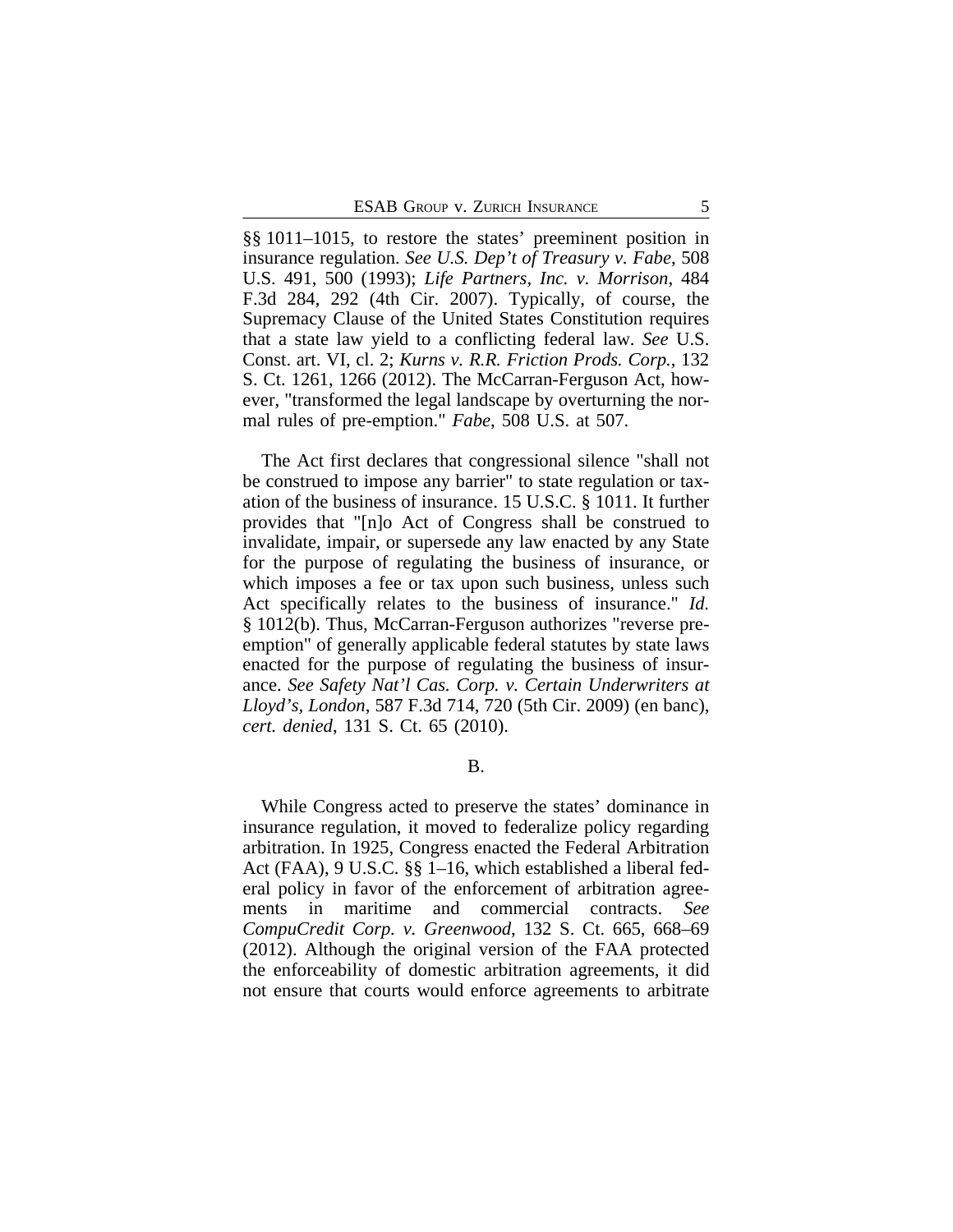§§ 1011–1015, to restore the states' preeminent position in insurance regulation. *See U.S. Dep't of Treasury v. Fabe*, 508 U.S. 491, 500 (1993); *Life Partners, Inc. v. Morrison*, 484 F.3d 284, 292 (4th Cir. 2007). Typically, of course, the Supremacy Clause of the United States Constitution requires that a state law yield to a conflicting federal law. *See* U.S. Const. art. VI, cl. 2; *Kurns v. R.R. Friction Prods. Corp.*, 132 S. Ct. 1261, 1266 (2012). The McCarran-Ferguson Act, however, "transformed the legal landscape by overturning the normal rules of pre-emption." *Fabe*, 508 U.S. at 507.

The Act first declares that congressional silence "shall not be construed to impose any barrier" to state regulation or taxation of the business of insurance. 15 U.S.C. § 1011. It further provides that "[n]o Act of Congress shall be construed to invalidate, impair, or supersede any law enacted by any State for the purpose of regulating the business of insurance, or which imposes a fee or tax upon such business, unless such Act specifically relates to the business of insurance." *Id.* § 1012(b). Thus, McCarran-Ferguson authorizes "reverse preemption" of generally applicable federal statutes by state laws enacted for the purpose of regulating the business of insurance. *See Safety Nat'l Cas. Corp. v. Certain Underwriters at Lloyd's, London*, 587 F.3d 714, 720 (5th Cir. 2009) (en banc), *cert. denied*, 131 S. Ct. 65 (2010).

B.

While Congress acted to preserve the states' dominance in insurance regulation, it moved to federalize policy regarding arbitration. In 1925, Congress enacted the Federal Arbitration Act (FAA), 9 U.S.C. §§ 1–16, which established a liberal federal policy in favor of the enforcement of arbitration agreements in maritime and commercial contracts. *See CompuCredit Corp. v. Greenwood*, 132 S. Ct. 665, 668–69 (2012). Although the original version of the FAA protected the enforceability of domestic arbitration agreements, it did not ensure that courts would enforce agreements to arbitrate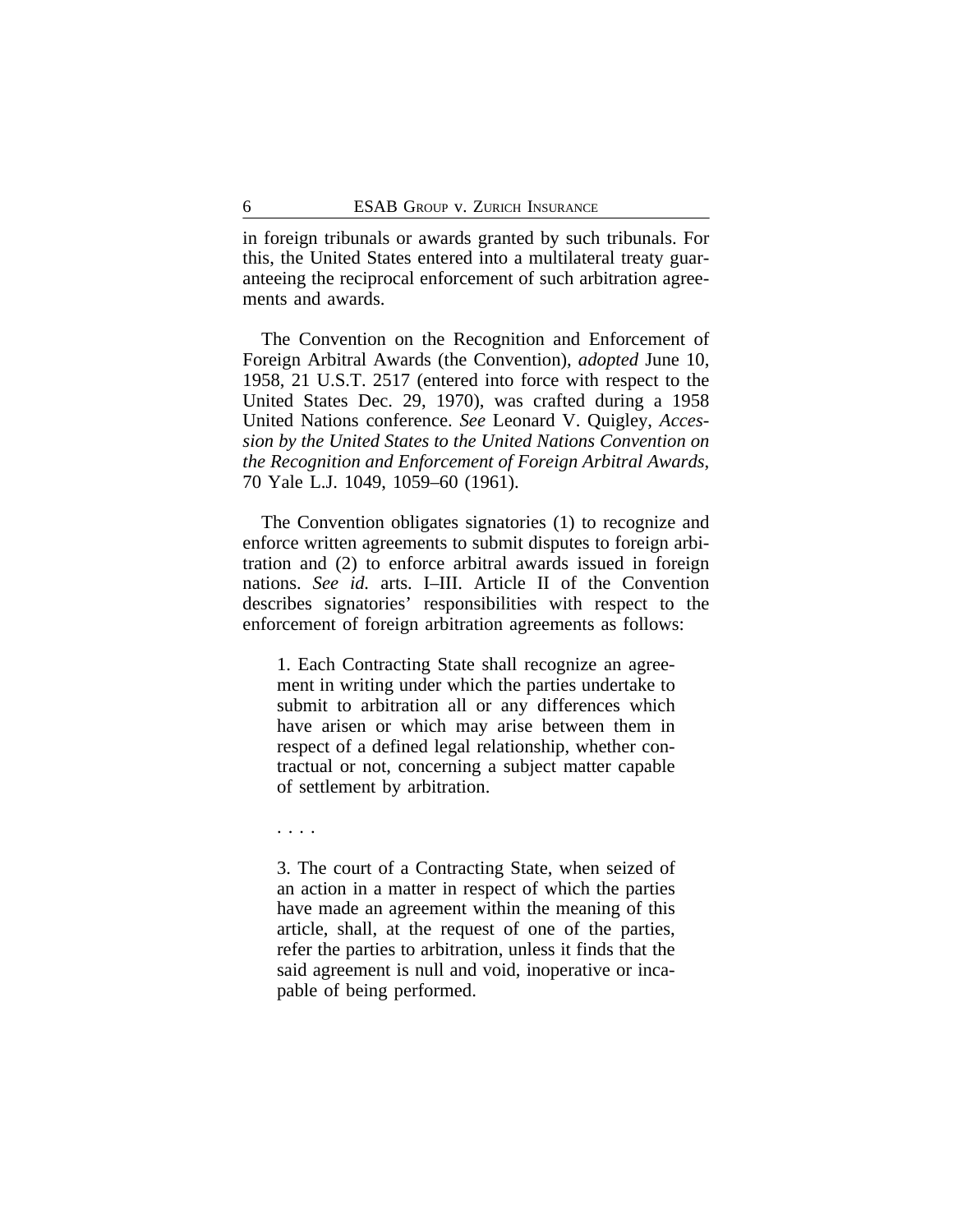in foreign tribunals or awards granted by such tribunals. For this, the United States entered into a multilateral treaty guaranteeing the reciprocal enforcement of such arbitration agreements and awards.

The Convention on the Recognition and Enforcement of Foreign Arbitral Awards (the Convention), *adopted* June 10, 1958, 21 U.S.T. 2517 (entered into force with respect to the United States Dec. 29, 1970), was crafted during a 1958 United Nations conference. *See* Leonard V. Quigley, *Accession by the United States to the United Nations Convention on the Recognition and Enforcement of Foreign Arbitral Awards*, 70 Yale L.J. 1049, 1059–60 (1961).

The Convention obligates signatories (1) to recognize and enforce written agreements to submit disputes to foreign arbitration and (2) to enforce arbitral awards issued in foreign nations. *See id.* arts. I–III. Article II of the Convention describes signatories' responsibilities with respect to the enforcement of foreign arbitration agreements as follows:

1. Each Contracting State shall recognize an agreement in writing under which the parties undertake to submit to arbitration all or any differences which have arisen or which may arise between them in respect of a defined legal relationship, whether contractual or not, concerning a subject matter capable of settlement by arbitration.

. . . .

3. The court of a Contracting State, when seized of an action in a matter in respect of which the parties have made an agreement within the meaning of this article, shall, at the request of one of the parties, refer the parties to arbitration, unless it finds that the said agreement is null and void, inoperative or incapable of being performed.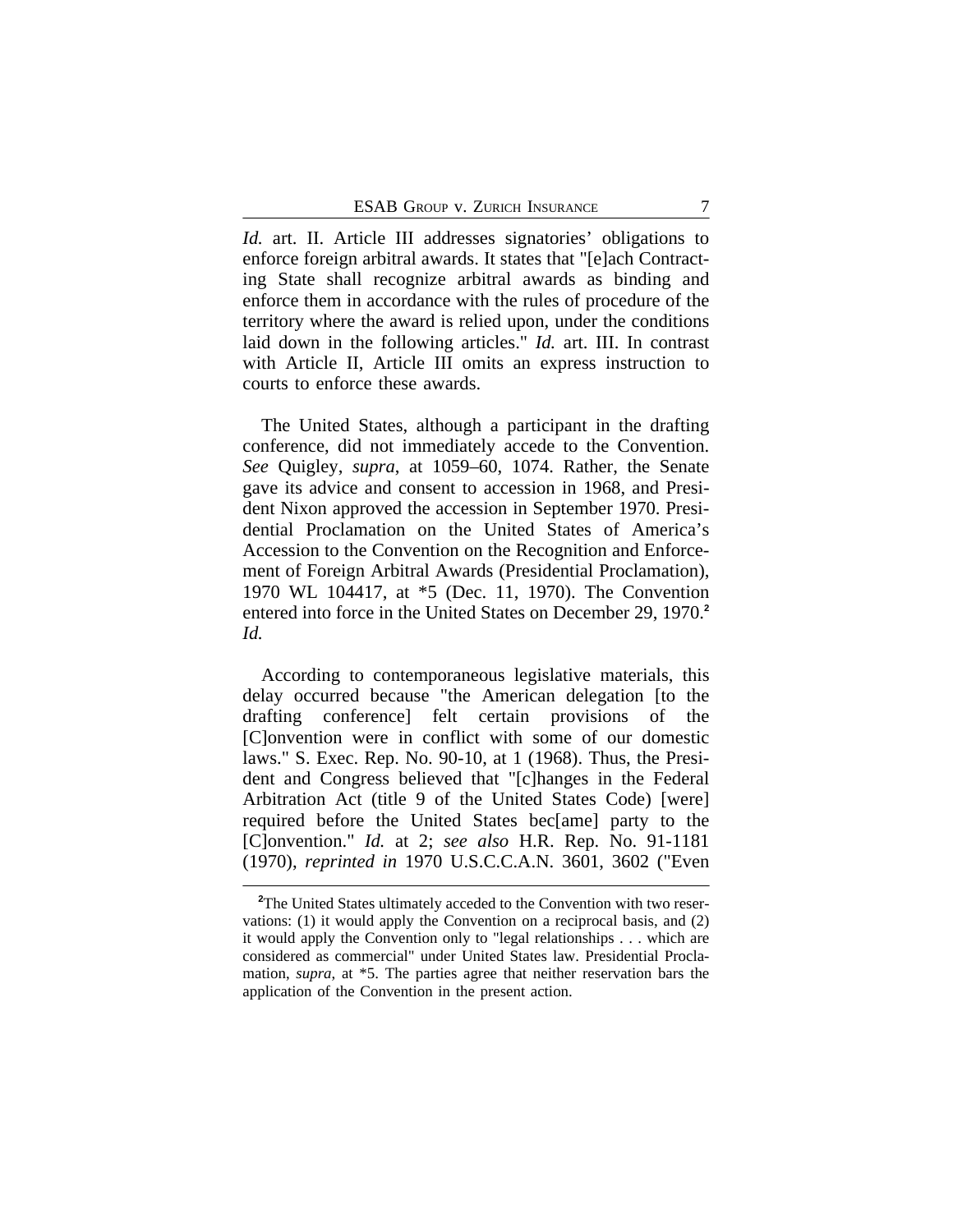*Id.* art. II. Article III addresses signatories' obligations to enforce foreign arbitral awards. It states that "[e]ach Contracting State shall recognize arbitral awards as binding and enforce them in accordance with the rules of procedure of the territory where the award is relied upon, under the conditions laid down in the following articles." *Id.* art. III. In contrast with Article II, Article III omits an express instruction to courts to enforce these awards.

The United States, although a participant in the drafting conference, did not immediately accede to the Convention. *See* Quigley, *supra*, at 1059–60, 1074. Rather, the Senate gave its advice and consent to accession in 1968, and President Nixon approved the accession in September 1970. Presidential Proclamation on the United States of America's Accession to the Convention on the Recognition and Enforcement of Foreign Arbitral Awards (Presidential Proclamation), 1970 WL 104417, at \*5 (Dec. 11, 1970). The Convention entered into force in the United States on December 29, 1970.**<sup>2</sup>** *Id.*

According to contemporaneous legislative materials, this delay occurred because "the American delegation [to the drafting conference] felt certain provisions of the [C]onvention were in conflict with some of our domestic laws." S. Exec. Rep. No. 90-10, at 1 (1968). Thus, the President and Congress believed that "[c]hanges in the Federal Arbitration Act (title 9 of the United States Code) [were] required before the United States bec[ame] party to the [C]onvention." *Id.* at 2; *see also* H.R. Rep. No. 91-1181 (1970), *reprinted in* 1970 U.S.C.C.A.N. 3601, 3602 ("Even

<sup>&</sup>lt;sup>2</sup>The United States ultimately acceded to the Convention with two reservations: (1) it would apply the Convention on a reciprocal basis, and (2) it would apply the Convention only to "legal relationships . . . which are considered as commercial" under United States law. Presidential Proclamation, *supra*, at \*5. The parties agree that neither reservation bars the application of the Convention in the present action.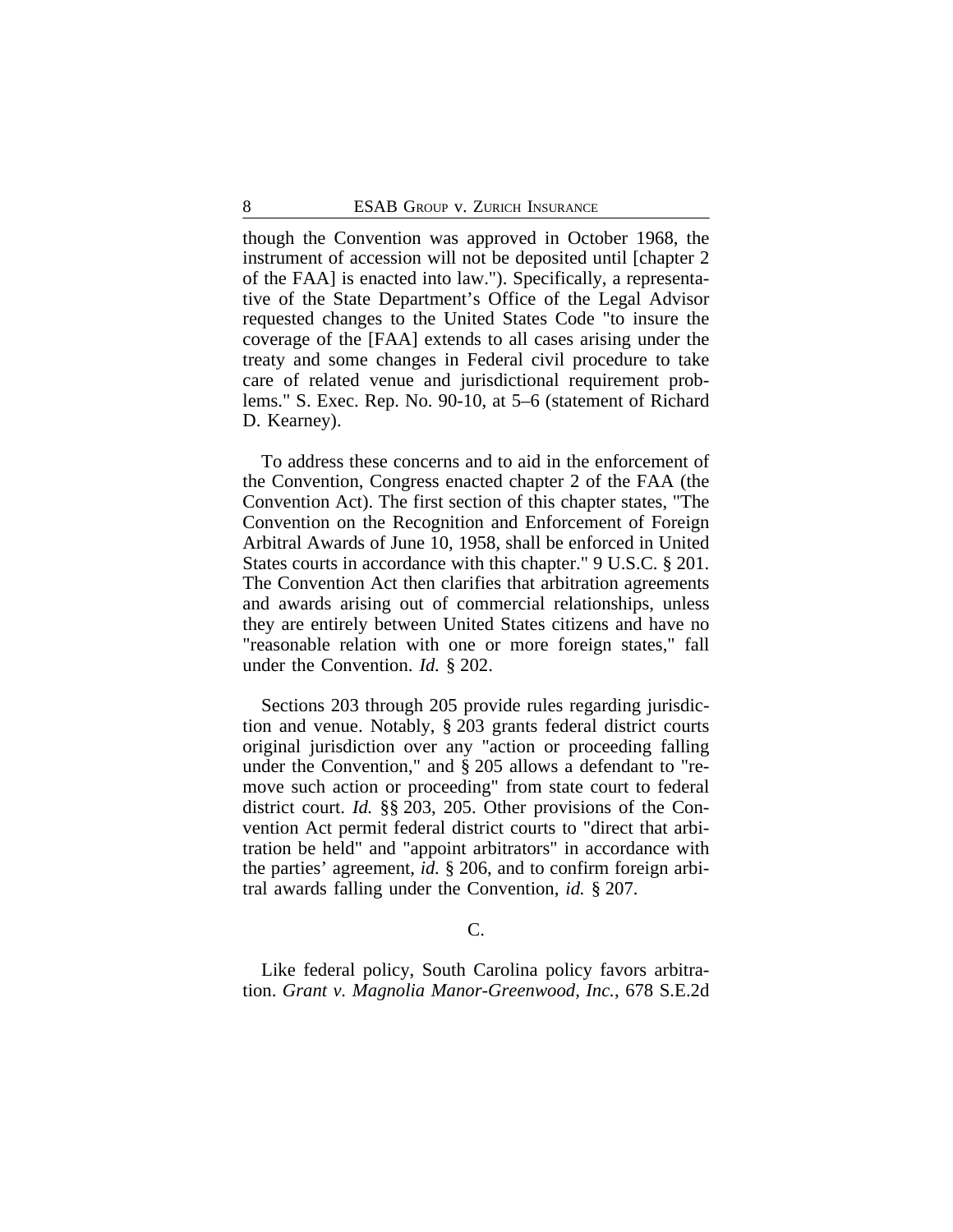though the Convention was approved in October 1968, the instrument of accession will not be deposited until [chapter 2 of the FAA] is enacted into law."). Specifically, a representative of the State Department's Office of the Legal Advisor requested changes to the United States Code "to insure the coverage of the [FAA] extends to all cases arising under the treaty and some changes in Federal civil procedure to take care of related venue and jurisdictional requirement problems." S. Exec. Rep. No. 90-10, at 5–6 (statement of Richard D. Kearney).

To address these concerns and to aid in the enforcement of the Convention, Congress enacted chapter 2 of the FAA (the Convention Act). The first section of this chapter states, "The Convention on the Recognition and Enforcement of Foreign Arbitral Awards of June 10, 1958, shall be enforced in United States courts in accordance with this chapter." 9 U.S.C. § 201. The Convention Act then clarifies that arbitration agreements and awards arising out of commercial relationships, unless they are entirely between United States citizens and have no "reasonable relation with one or more foreign states," fall under the Convention. *Id.* § 202.

Sections 203 through 205 provide rules regarding jurisdiction and venue. Notably, § 203 grants federal district courts original jurisdiction over any "action or proceeding falling under the Convention," and § 205 allows a defendant to "remove such action or proceeding" from state court to federal district court. *Id.* §§ 203, 205. Other provisions of the Convention Act permit federal district courts to "direct that arbitration be held" and "appoint arbitrators" in accordance with the parties' agreement, *id.* § 206, and to confirm foreign arbitral awards falling under the Convention, *id.* § 207.

#### C.

Like federal policy, South Carolina policy favors arbitration. *Grant v. Magnolia Manor-Greenwood, Inc.*, 678 S.E.2d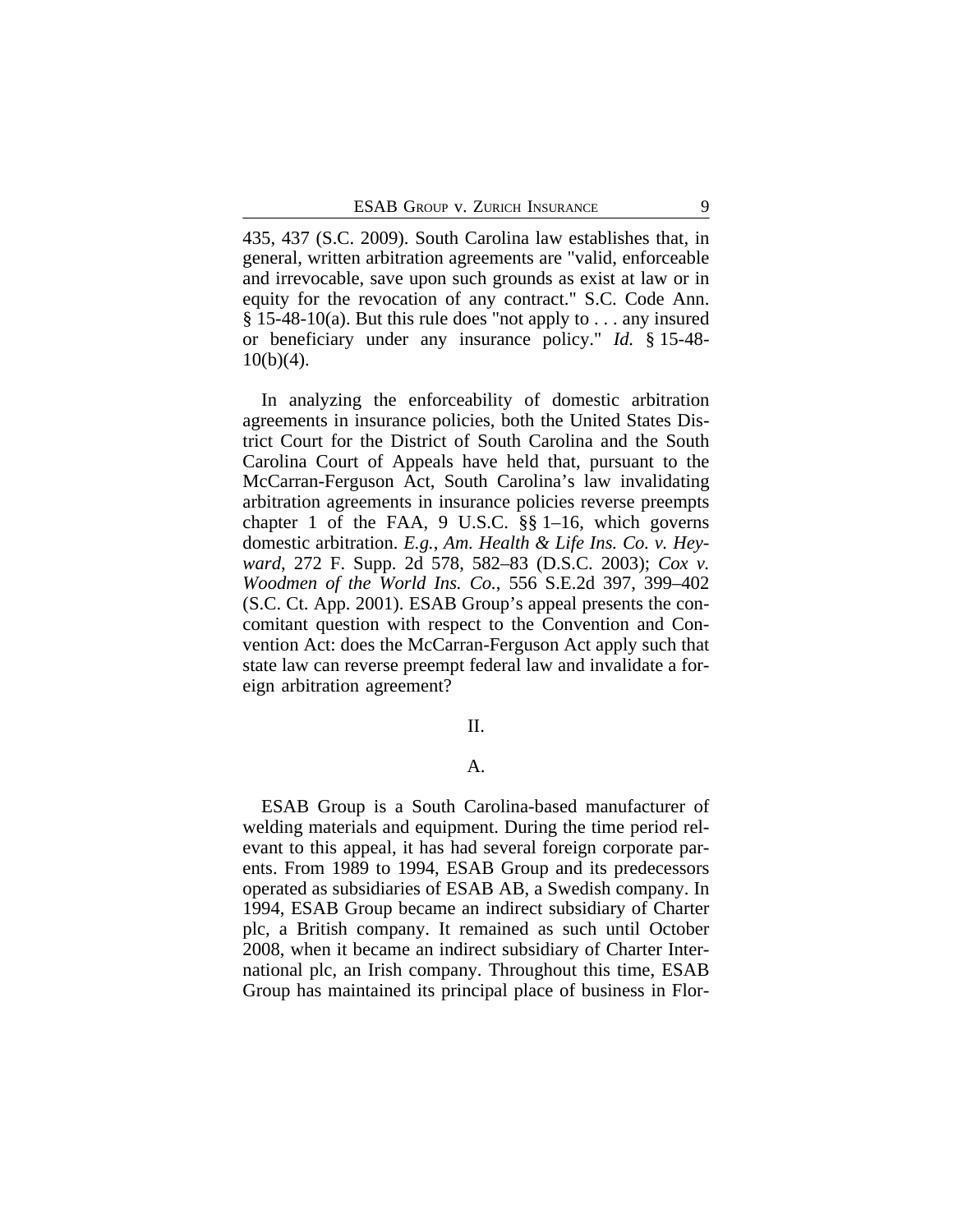435, 437 (S.C. 2009). South Carolina law establishes that, in general, written arbitration agreements are "valid, enforceable and irrevocable, save upon such grounds as exist at law or in equity for the revocation of any contract." S.C. Code Ann.  $§$  15-48-10(a). But this rule does "not apply to ... any insured or beneficiary under any insurance policy." *Id.* § 15-48-  $10(b)(4)$ .

In analyzing the enforceability of domestic arbitration agreements in insurance policies, both the United States District Court for the District of South Carolina and the South Carolina Court of Appeals have held that, pursuant to the McCarran-Ferguson Act, South Carolina's law invalidating arbitration agreements in insurance policies reverse preempts chapter 1 of the FAA, 9 U.S.C. §§ 1–16, which governs domestic arbitration. *E.g.*, *Am. Health & Life Ins. Co. v. Heyward*, 272 F. Supp. 2d 578, 582–83 (D.S.C. 2003); *Cox v. Woodmen of the World Ins. Co.*, 556 S.E.2d 397, 399–402 (S.C. Ct. App. 2001). ESAB Group's appeal presents the concomitant question with respect to the Convention and Convention Act: does the McCarran-Ferguson Act apply such that state law can reverse preempt federal law and invalidate a foreign arbitration agreement?

#### II.

## A.

ESAB Group is a South Carolina-based manufacturer of welding materials and equipment. During the time period relevant to this appeal, it has had several foreign corporate parents. From 1989 to 1994, ESAB Group and its predecessors operated as subsidiaries of ESAB AB, a Swedish company. In 1994, ESAB Group became an indirect subsidiary of Charter plc, a British company. It remained as such until October 2008, when it became an indirect subsidiary of Charter International plc, an Irish company. Throughout this time, ESAB Group has maintained its principal place of business in Flor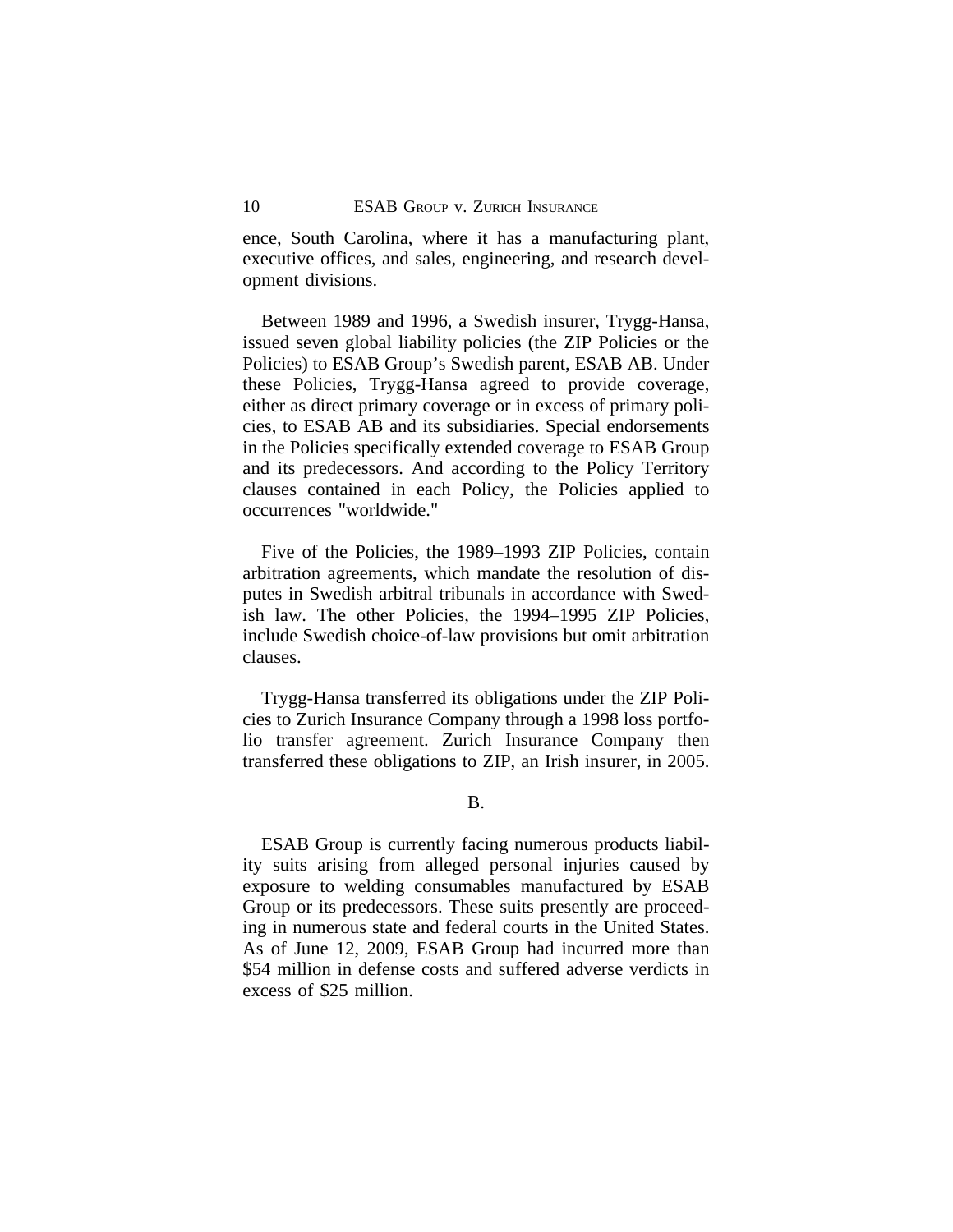ence, South Carolina, where it has a manufacturing plant, executive offices, and sales, engineering, and research development divisions.

Between 1989 and 1996, a Swedish insurer, Trygg-Hansa, issued seven global liability policies (the ZIP Policies or the Policies) to ESAB Group's Swedish parent, ESAB AB. Under these Policies, Trygg-Hansa agreed to provide coverage, either as direct primary coverage or in excess of primary policies, to ESAB AB and its subsidiaries. Special endorsements in the Policies specifically extended coverage to ESAB Group and its predecessors. And according to the Policy Territory clauses contained in each Policy, the Policies applied to occurrences "worldwide."

Five of the Policies, the 1989–1993 ZIP Policies, contain arbitration agreements, which mandate the resolution of disputes in Swedish arbitral tribunals in accordance with Swedish law. The other Policies, the 1994–1995 ZIP Policies, include Swedish choice-of-law provisions but omit arbitration clauses.

Trygg-Hansa transferred its obligations under the ZIP Policies to Zurich Insurance Company through a 1998 loss portfolio transfer agreement. Zurich Insurance Company then transferred these obligations to ZIP, an Irish insurer, in 2005.

ESAB Group is currently facing numerous products liability suits arising from alleged personal injuries caused by exposure to welding consumables manufactured by ESAB Group or its predecessors. These suits presently are proceeding in numerous state and federal courts in the United States. As of June 12, 2009, ESAB Group had incurred more than \$54 million in defense costs and suffered adverse verdicts in excess of \$25 million.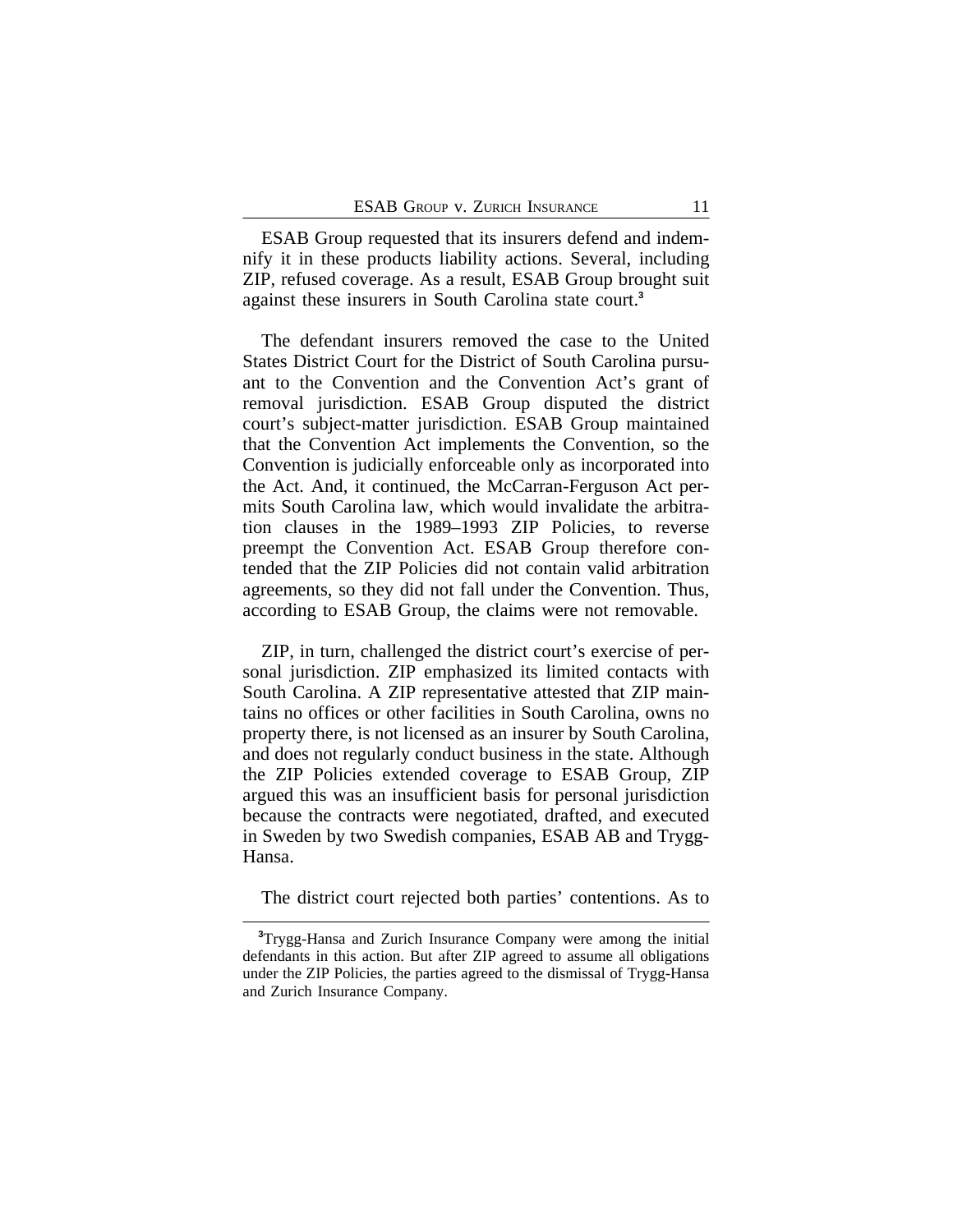ESAB Group requested that its insurers defend and indemnify it in these products liability actions. Several, including ZIP, refused coverage. As a result, ESAB Group brought suit against these insurers in South Carolina state court.**<sup>3</sup>**

The defendant insurers removed the case to the United States District Court for the District of South Carolina pursuant to the Convention and the Convention Act's grant of removal jurisdiction. ESAB Group disputed the district court's subject-matter jurisdiction. ESAB Group maintained that the Convention Act implements the Convention, so the Convention is judicially enforceable only as incorporated into the Act. And, it continued, the McCarran-Ferguson Act permits South Carolina law, which would invalidate the arbitration clauses in the 1989–1993 ZIP Policies, to reverse preempt the Convention Act. ESAB Group therefore contended that the ZIP Policies did not contain valid arbitration agreements, so they did not fall under the Convention. Thus, according to ESAB Group, the claims were not removable.

ZIP, in turn, challenged the district court's exercise of personal jurisdiction. ZIP emphasized its limited contacts with South Carolina. A ZIP representative attested that ZIP maintains no offices or other facilities in South Carolina, owns no property there, is not licensed as an insurer by South Carolina, and does not regularly conduct business in the state. Although the ZIP Policies extended coverage to ESAB Group, ZIP argued this was an insufficient basis for personal jurisdiction because the contracts were negotiated, drafted, and executed in Sweden by two Swedish companies, ESAB AB and Trygg-Hansa.

The district court rejected both parties' contentions. As to

**<sup>3</sup>**Trygg-Hansa and Zurich Insurance Company were among the initial defendants in this action. But after ZIP agreed to assume all obligations under the ZIP Policies, the parties agreed to the dismissal of Trygg-Hansa and Zurich Insurance Company.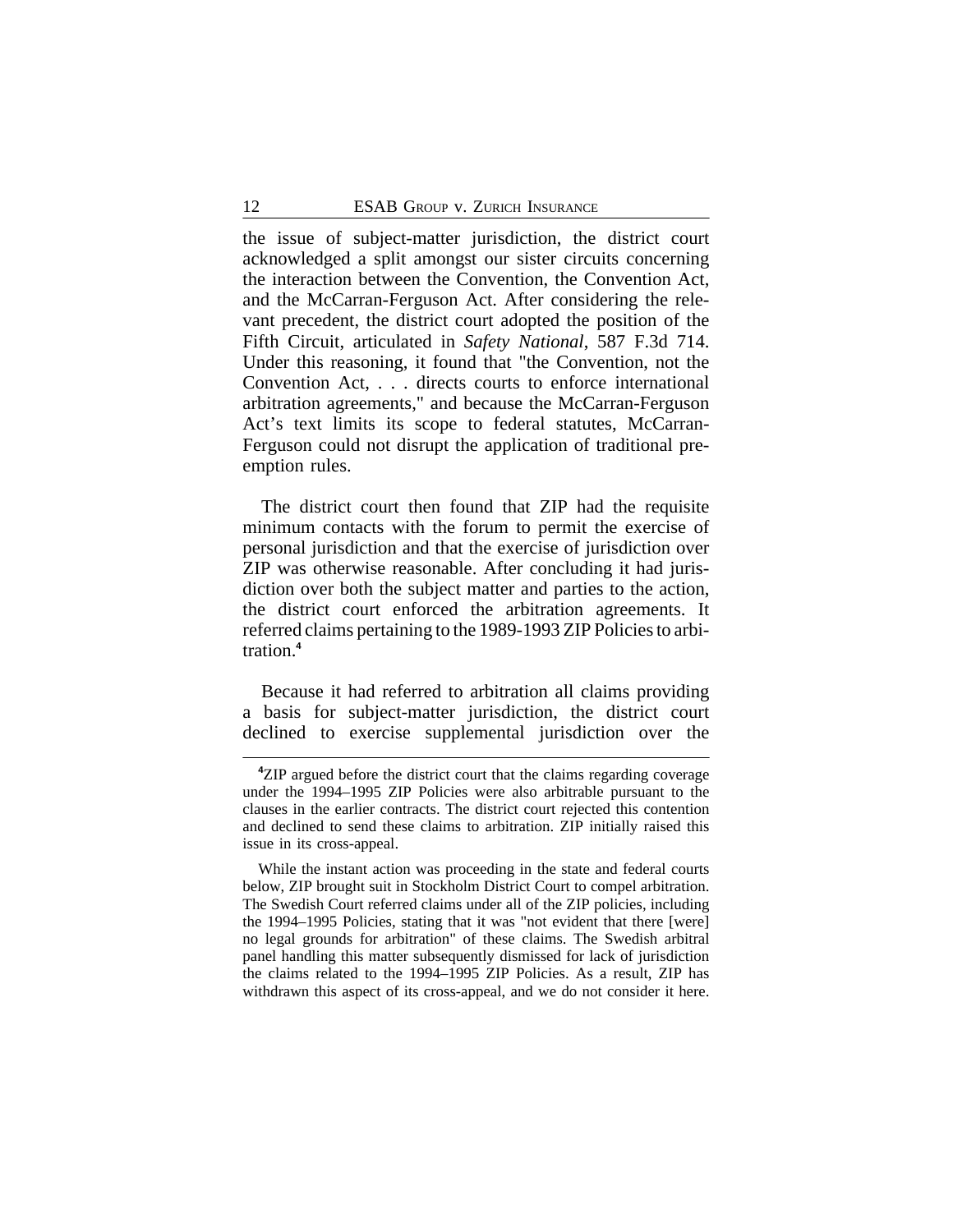the issue of subject-matter jurisdiction, the district court acknowledged a split amongst our sister circuits concerning the interaction between the Convention, the Convention Act, and the McCarran-Ferguson Act. After considering the relevant precedent, the district court adopted the position of the Fifth Circuit, articulated in *Safety National*, 587 F.3d 714. Under this reasoning, it found that "the Convention, not the Convention Act, . . . directs courts to enforce international arbitration agreements," and because the McCarran-Ferguson Act's text limits its scope to federal statutes, McCarran-Ferguson could not disrupt the application of traditional preemption rules.

The district court then found that ZIP had the requisite minimum contacts with the forum to permit the exercise of personal jurisdiction and that the exercise of jurisdiction over ZIP was otherwise reasonable. After concluding it had jurisdiction over both the subject matter and parties to the action, the district court enforced the arbitration agreements. It referred claims pertaining to the 1989-1993 ZIP Policies to arbitration.**<sup>4</sup>**

Because it had referred to arbitration all claims providing a basis for subject-matter jurisdiction, the district court declined to exercise supplemental jurisdiction over the

**<sup>4</sup>**ZIP argued before the district court that the claims regarding coverage under the 1994–1995 ZIP Policies were also arbitrable pursuant to the clauses in the earlier contracts. The district court rejected this contention and declined to send these claims to arbitration. ZIP initially raised this issue in its cross-appeal.

While the instant action was proceeding in the state and federal courts below, ZIP brought suit in Stockholm District Court to compel arbitration. The Swedish Court referred claims under all of the ZIP policies, including the 1994–1995 Policies, stating that it was "not evident that there [were] no legal grounds for arbitration" of these claims. The Swedish arbitral panel handling this matter subsequently dismissed for lack of jurisdiction the claims related to the 1994–1995 ZIP Policies. As a result, ZIP has withdrawn this aspect of its cross-appeal, and we do not consider it here.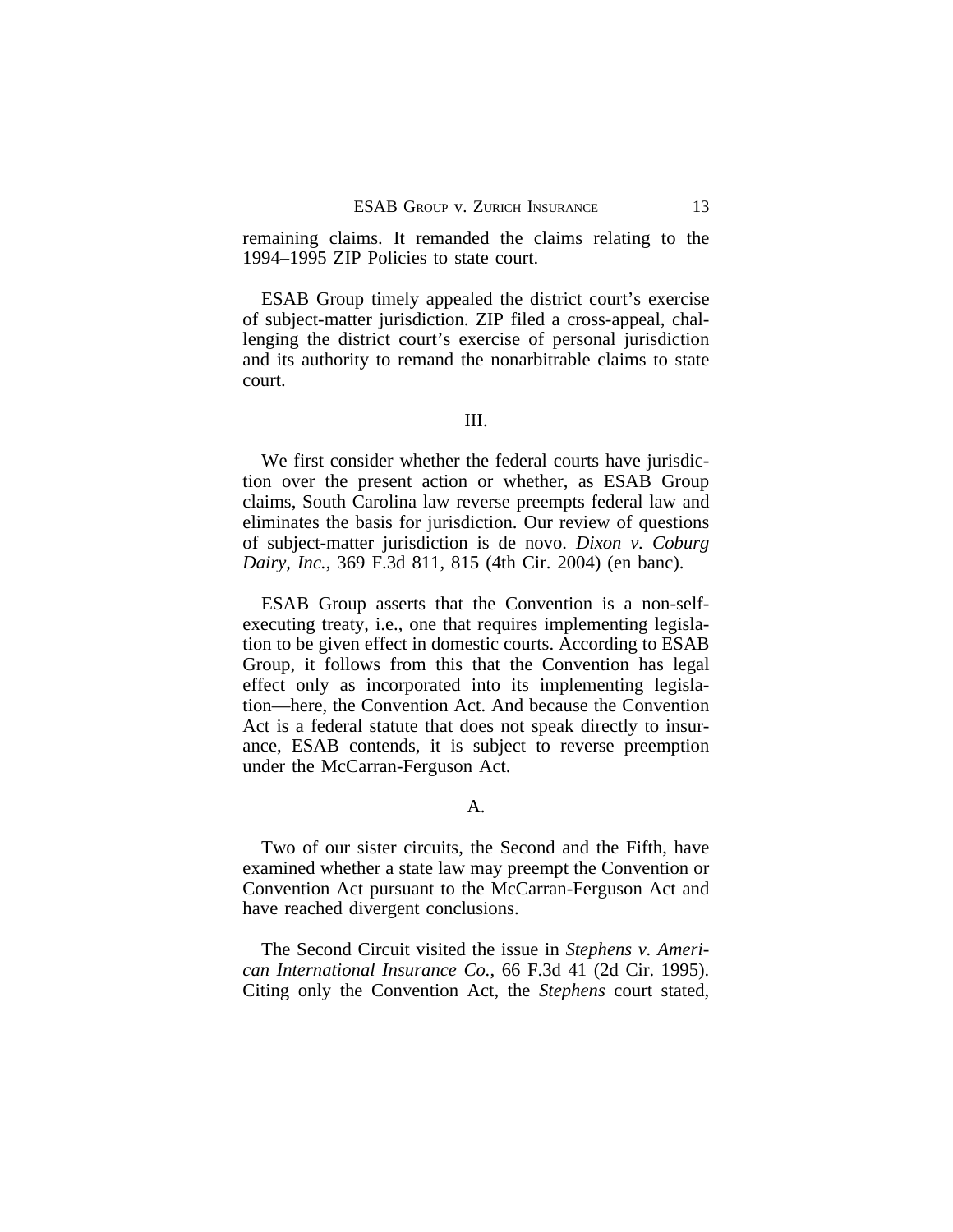remaining claims. It remanded the claims relating to the 1994–1995 ZIP Policies to state court.

ESAB Group timely appealed the district court's exercise of subject-matter jurisdiction. ZIP filed a cross-appeal, challenging the district court's exercise of personal jurisdiction and its authority to remand the nonarbitrable claims to state court.

## III.

We first consider whether the federal courts have jurisdiction over the present action or whether, as ESAB Group claims, South Carolina law reverse preempts federal law and eliminates the basis for jurisdiction. Our review of questions of subject-matter jurisdiction is de novo. *Dixon v. Coburg Dairy, Inc.*, 369 F.3d 811, 815 (4th Cir. 2004) (en banc).

ESAB Group asserts that the Convention is a non-selfexecuting treaty, i.e., one that requires implementing legislation to be given effect in domestic courts. According to ESAB Group, it follows from this that the Convention has legal effect only as incorporated into its implementing legislation—here, the Convention Act. And because the Convention Act is a federal statute that does not speak directly to insurance, ESAB contends, it is subject to reverse preemption under the McCarran-Ferguson Act.

## A.

Two of our sister circuits, the Second and the Fifth, have examined whether a state law may preempt the Convention or Convention Act pursuant to the McCarran-Ferguson Act and have reached divergent conclusions.

The Second Circuit visited the issue in *Stephens v. American International Insurance Co.*, 66 F.3d 41 (2d Cir. 1995). Citing only the Convention Act, the *Stephens* court stated,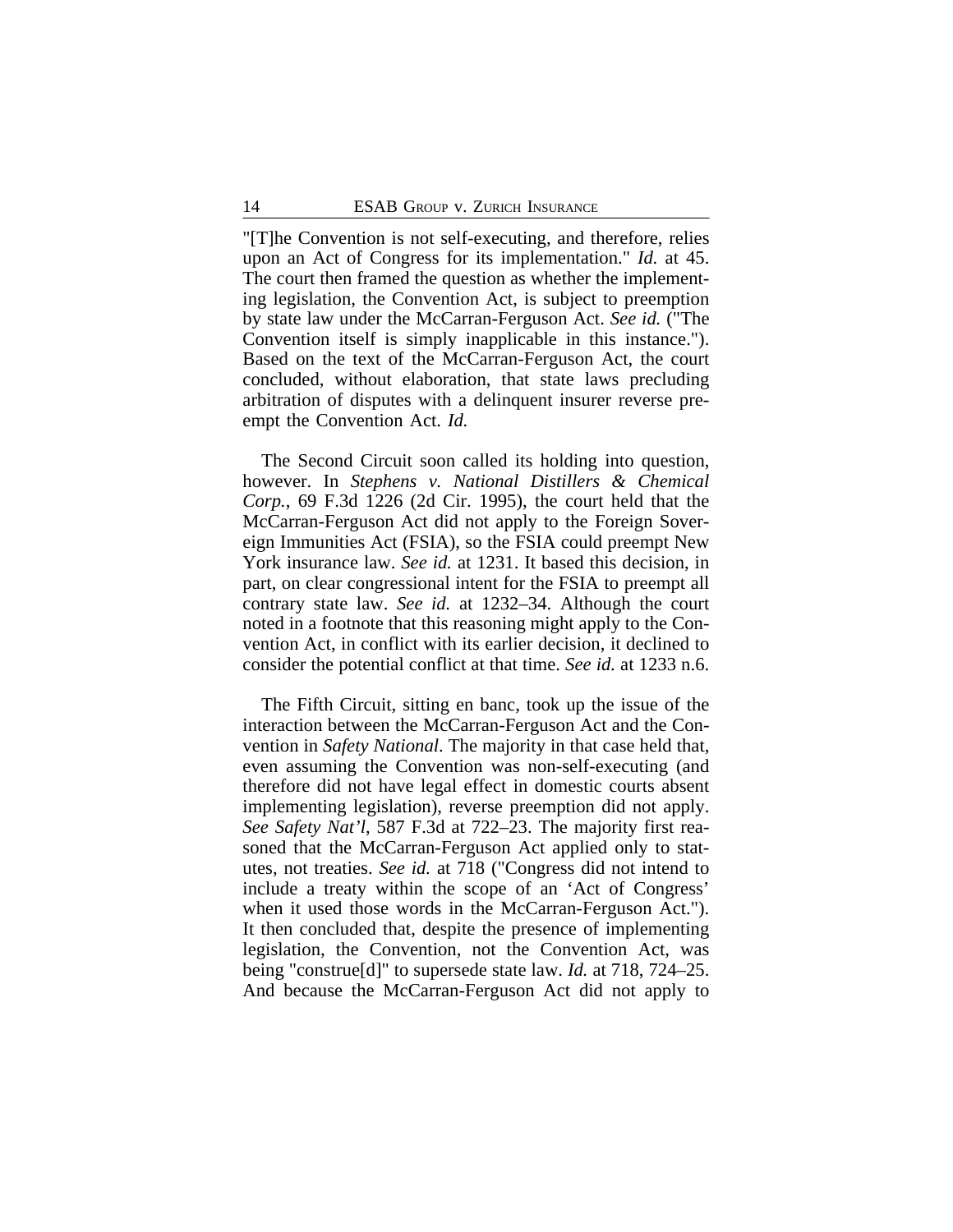"[T]he Convention is not self-executing, and therefore, relies upon an Act of Congress for its implementation." *Id.* at 45. The court then framed the question as whether the implementing legislation, the Convention Act, is subject to preemption by state law under the McCarran-Ferguson Act. *See id.* ("The Convention itself is simply inapplicable in this instance."). Based on the text of the McCarran-Ferguson Act, the court concluded, without elaboration, that state laws precluding arbitration of disputes with a delinquent insurer reverse preempt the Convention Act. *Id.*

The Second Circuit soon called its holding into question, however. In *Stephens v. National Distillers & Chemical Corp.*, 69 F.3d 1226 (2d Cir. 1995), the court held that the McCarran-Ferguson Act did not apply to the Foreign Sovereign Immunities Act (FSIA), so the FSIA could preempt New York insurance law. *See id.* at 1231. It based this decision, in part, on clear congressional intent for the FSIA to preempt all contrary state law. *See id.* at 1232–34. Although the court noted in a footnote that this reasoning might apply to the Convention Act, in conflict with its earlier decision, it declined to consider the potential conflict at that time. *See id.* at 1233 n.6.

The Fifth Circuit, sitting en banc, took up the issue of the interaction between the McCarran-Ferguson Act and the Convention in *Safety National*. The majority in that case held that, even assuming the Convention was non-self-executing (and therefore did not have legal effect in domestic courts absent implementing legislation), reverse preemption did not apply. *See Safety Nat'l*, 587 F.3d at 722–23. The majority first reasoned that the McCarran-Ferguson Act applied only to statutes, not treaties. *See id.* at 718 ("Congress did not intend to include a treaty within the scope of an 'Act of Congress' when it used those words in the McCarran-Ferguson Act."). It then concluded that, despite the presence of implementing legislation, the Convention, not the Convention Act, was being "construe[d]" to supersede state law. *Id.* at 718, 724–25. And because the McCarran-Ferguson Act did not apply to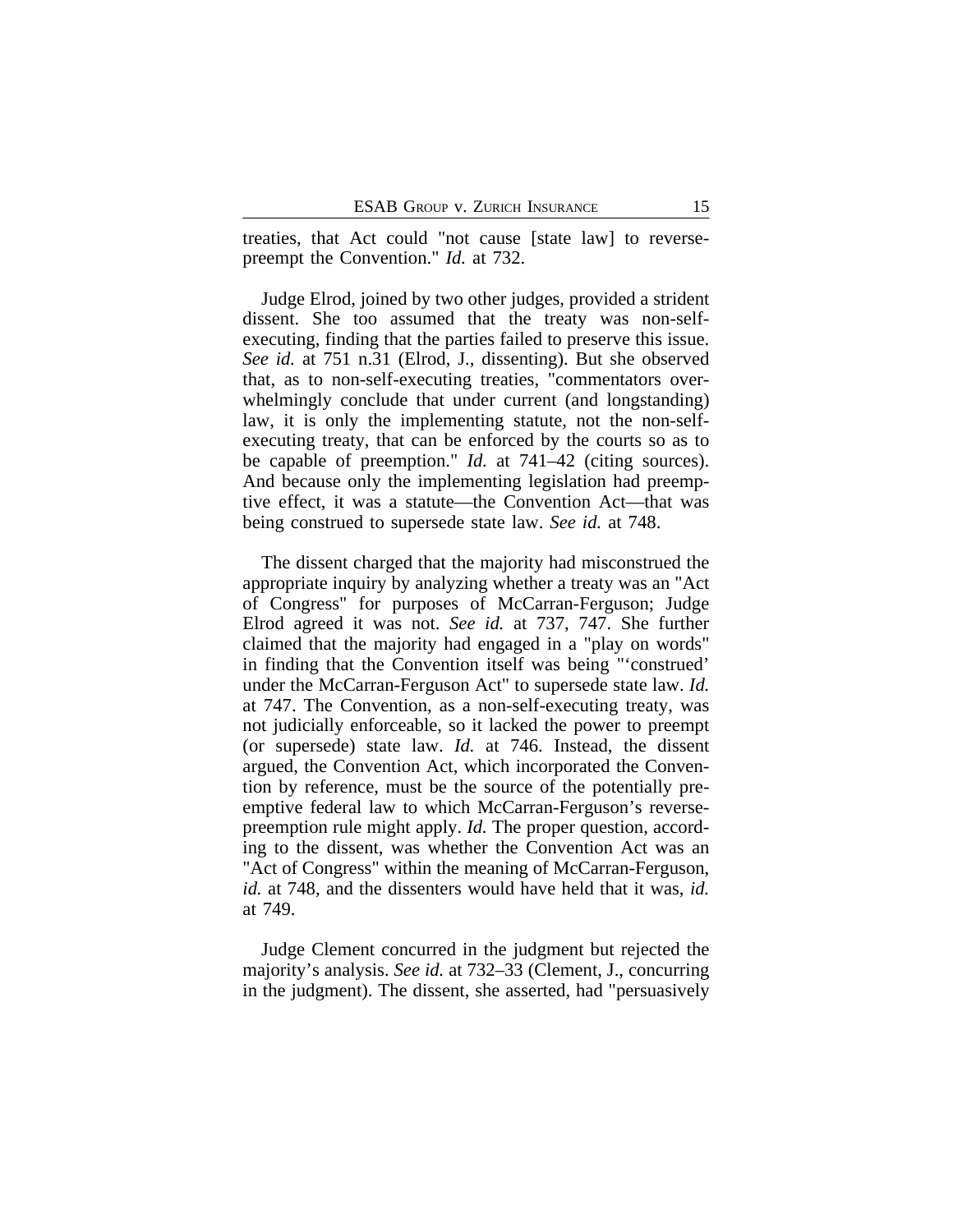treaties, that Act could "not cause [state law] to reversepreempt the Convention." *Id.* at 732.

Judge Elrod, joined by two other judges, provided a strident dissent. She too assumed that the treaty was non-selfexecuting, finding that the parties failed to preserve this issue. *See id.* at 751 n.31 (Elrod, J., dissenting). But she observed that, as to non-self-executing treaties, "commentators overwhelmingly conclude that under current (and longstanding) law, it is only the implementing statute, not the non-selfexecuting treaty, that can be enforced by the courts so as to be capable of preemption." *Id.* at 741–42 (citing sources). And because only the implementing legislation had preemptive effect, it was a statute—the Convention Act—that was being construed to supersede state law. *See id.* at 748.

The dissent charged that the majority had misconstrued the appropriate inquiry by analyzing whether a treaty was an "Act of Congress" for purposes of McCarran-Ferguson; Judge Elrod agreed it was not. *See id.* at 737, 747. She further claimed that the majority had engaged in a "play on words" in finding that the Convention itself was being "'construed' under the McCarran-Ferguson Act" to supersede state law. *Id.* at 747. The Convention, as a non-self-executing treaty, was not judicially enforceable, so it lacked the power to preempt (or supersede) state law. *Id.* at 746. Instead, the dissent argued, the Convention Act, which incorporated the Convention by reference, must be the source of the potentially preemptive federal law to which McCarran-Ferguson's reversepreemption rule might apply. *Id.* The proper question, according to the dissent, was whether the Convention Act was an "Act of Congress" within the meaning of McCarran-Ferguson, *id.* at 748, and the dissenters would have held that it was, *id.* at 749.

Judge Clement concurred in the judgment but rejected the majority's analysis. *See id.* at 732–33 (Clement, J., concurring in the judgment). The dissent, she asserted, had "persuasively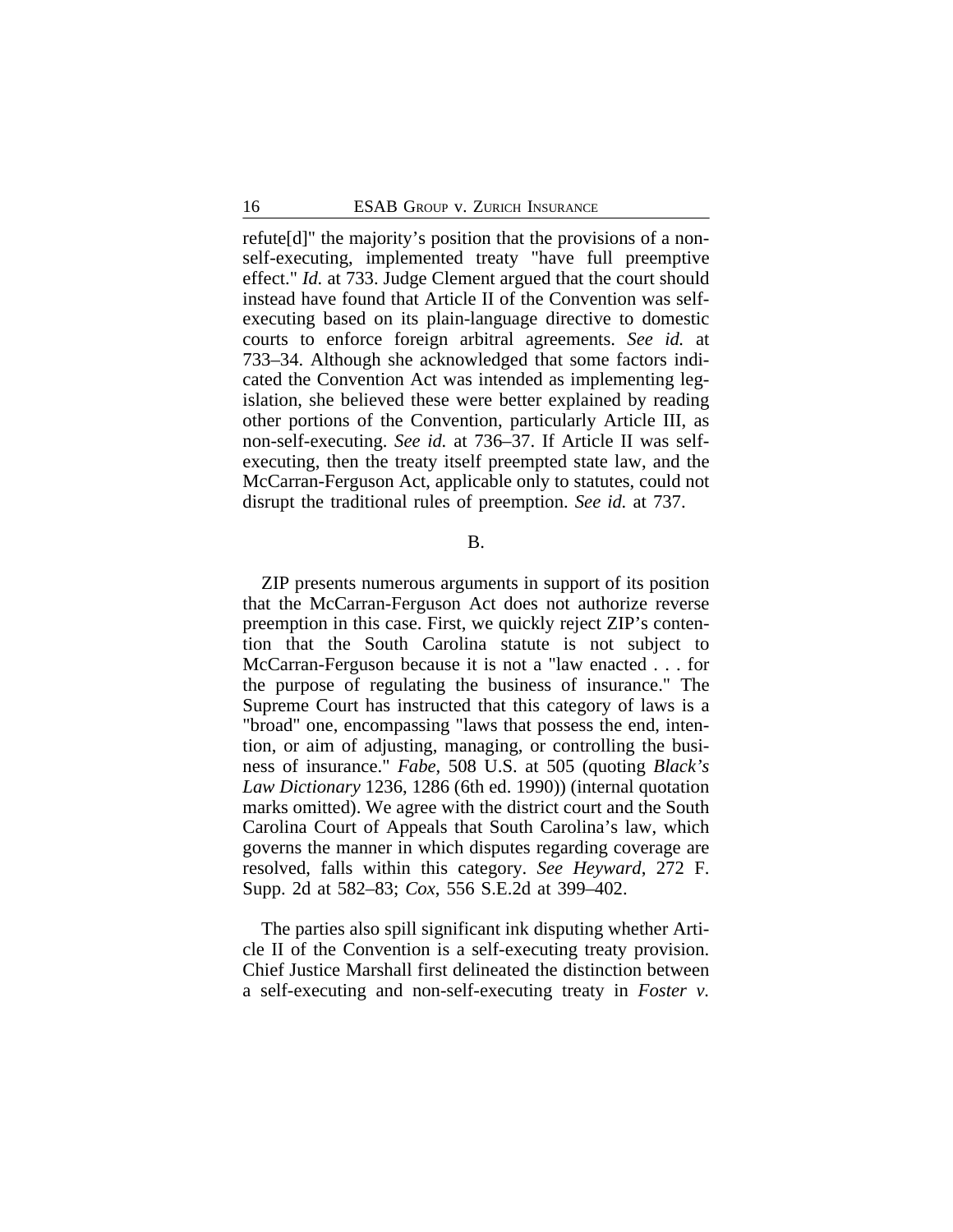refute[d]" the majority's position that the provisions of a nonself-executing, implemented treaty "have full preemptive effect." *Id.* at 733. Judge Clement argued that the court should instead have found that Article II of the Convention was selfexecuting based on its plain-language directive to domestic courts to enforce foreign arbitral agreements. *See id.* at 733–34. Although she acknowledged that some factors indicated the Convention Act was intended as implementing legislation, she believed these were better explained by reading other portions of the Convention, particularly Article III, as non-self-executing. *See id.* at 736–37. If Article II was selfexecuting, then the treaty itself preempted state law, and the McCarran-Ferguson Act, applicable only to statutes, could not disrupt the traditional rules of preemption. *See id.* at 737.

B.

ZIP presents numerous arguments in support of its position that the McCarran-Ferguson Act does not authorize reverse preemption in this case. First, we quickly reject ZIP's contention that the South Carolina statute is not subject to McCarran-Ferguson because it is not a "law enacted . . . for the purpose of regulating the business of insurance." The Supreme Court has instructed that this category of laws is a "broad" one, encompassing "laws that possess the end, intention, or aim of adjusting, managing, or controlling the business of insurance." *Fabe*, 508 U.S. at 505 (quoting *Black's Law Dictionary* 1236, 1286 (6th ed. 1990)) (internal quotation marks omitted). We agree with the district court and the South Carolina Court of Appeals that South Carolina's law, which governs the manner in which disputes regarding coverage are resolved, falls within this category. *See Heyward*, 272 F. Supp. 2d at 582–83; *Cox*, 556 S.E.2d at 399–402.

The parties also spill significant ink disputing whether Article II of the Convention is a self-executing treaty provision. Chief Justice Marshall first delineated the distinction between a self-executing and non-self-executing treaty in *Foster v.*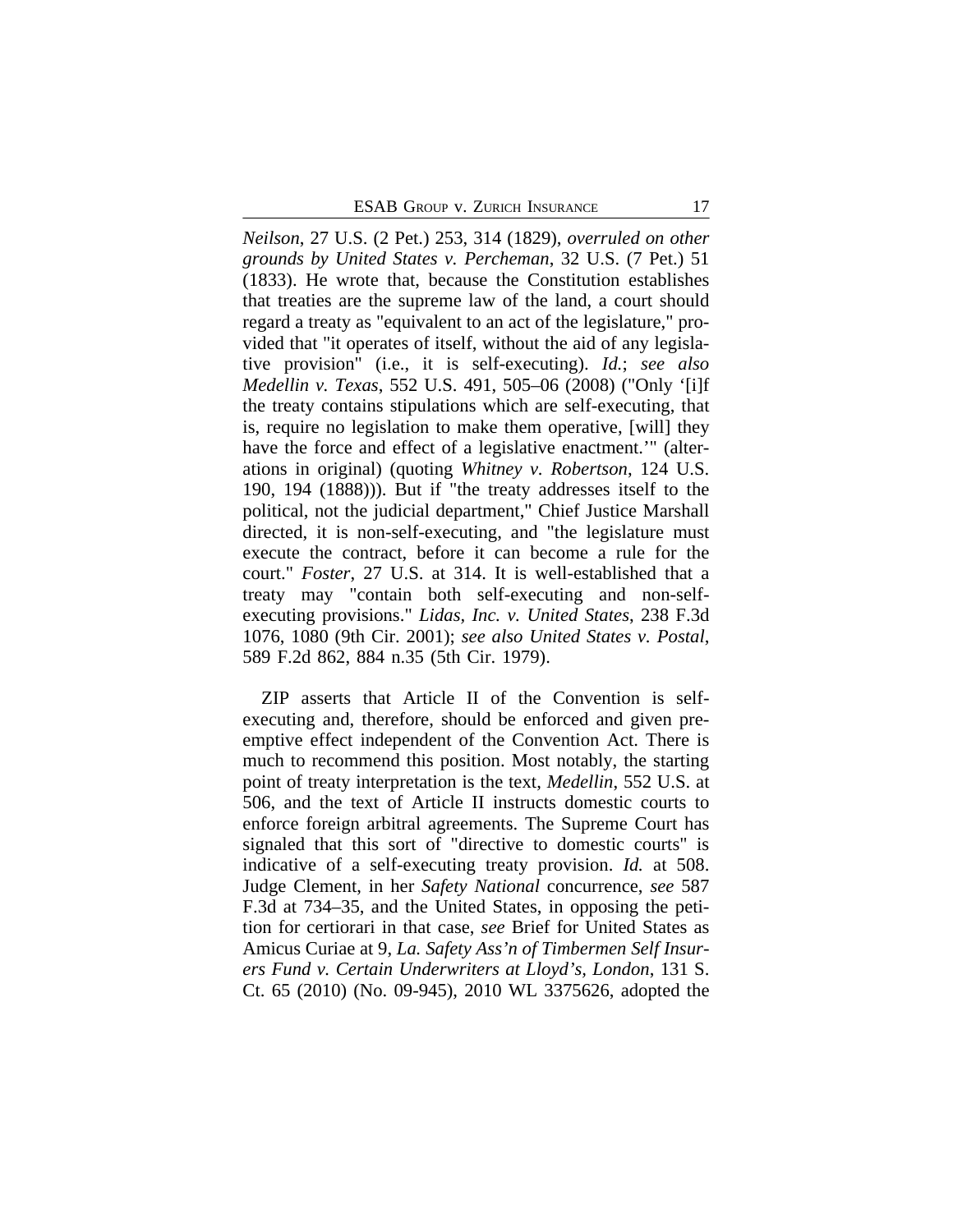*Neilson*, 27 U.S. (2 Pet.) 253, 314 (1829), *overruled on other grounds by United States v. Percheman*, 32 U.S. (7 Pet.) 51 (1833). He wrote that, because the Constitution establishes that treaties are the supreme law of the land, a court should regard a treaty as "equivalent to an act of the legislature," provided that "it operates of itself, without the aid of any legislative provision" (i.e., it is self-executing). *Id.*; *see also Medellin v. Texas*, 552 U.S. 491, 505–06 (2008) ("Only '[i]f the treaty contains stipulations which are self-executing, that is, require no legislation to make them operative, [will] they have the force and effect of a legislative enactment.'" (alterations in original) (quoting *Whitney v. Robertson*, 124 U.S. 190, 194 (1888))). But if "the treaty addresses itself to the political, not the judicial department," Chief Justice Marshall directed, it is non-self-executing, and "the legislature must execute the contract, before it can become a rule for the court." *Foster*, 27 U.S. at 314. It is well-established that a treaty may "contain both self-executing and non-selfexecuting provisions." *Lidas, Inc. v. United States*, 238 F.3d 1076, 1080 (9th Cir. 2001); *see also United States v. Postal*, 589 F.2d 862, 884 n.35 (5th Cir. 1979).

ZIP asserts that Article II of the Convention is selfexecuting and, therefore, should be enforced and given preemptive effect independent of the Convention Act. There is much to recommend this position. Most notably, the starting point of treaty interpretation is the text, *Medellin*, 552 U.S. at 506, and the text of Article II instructs domestic courts to enforce foreign arbitral agreements. The Supreme Court has signaled that this sort of "directive to domestic courts" is indicative of a self-executing treaty provision. *Id.* at 508. Judge Clement, in her *Safety National* concurrence, *see* 587 F.3d at 734–35, and the United States, in opposing the petition for certiorari in that case, *see* Brief for United States as Amicus Curiae at 9, *La. Safety Ass'n of Timbermen Self Insurers Fund v. Certain Underwriters at Lloyd's, London*, 131 S. Ct. 65 (2010) (No. 09-945), 2010 WL 3375626, adopted the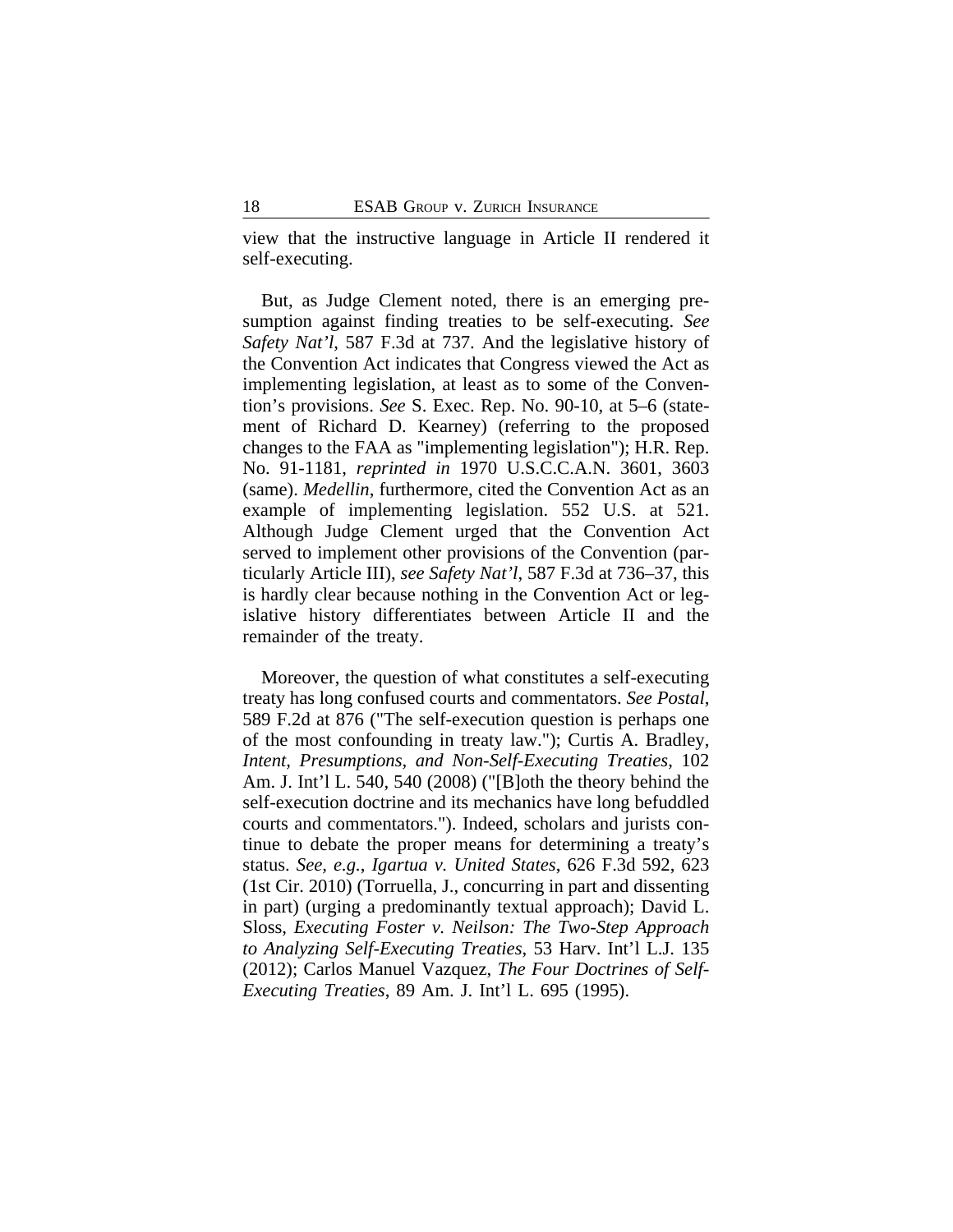view that the instructive language in Article II rendered it self-executing.

But, as Judge Clement noted, there is an emerging presumption against finding treaties to be self-executing. *See Safety Nat'l*, 587 F.3d at 737. And the legislative history of the Convention Act indicates that Congress viewed the Act as implementing legislation, at least as to some of the Convention's provisions. *See* S. Exec. Rep. No. 90-10, at 5–6 (statement of Richard D. Kearney) (referring to the proposed changes to the FAA as "implementing legislation"); H.R. Rep. No. 91-1181, *reprinted in* 1970 U.S.C.C.A.N. 3601, 3603 (same). *Medellin*, furthermore, cited the Convention Act as an example of implementing legislation. 552 U.S. at 521. Although Judge Clement urged that the Convention Act served to implement other provisions of the Convention (particularly Article III), *see Safety Nat'l*, 587 F.3d at 736–37, this is hardly clear because nothing in the Convention Act or legislative history differentiates between Article II and the remainder of the treaty.

Moreover, the question of what constitutes a self-executing treaty has long confused courts and commentators. *See Postal*, 589 F.2d at 876 ("The self-execution question is perhaps one of the most confounding in treaty law."); Curtis A. Bradley, *Intent, Presumptions, and Non-Self-Executing Treaties*, 102 Am. J. Int'l L. 540, 540 (2008) ("[B]oth the theory behind the self-execution doctrine and its mechanics have long befuddled courts and commentators."). Indeed, scholars and jurists continue to debate the proper means for determining a treaty's status. *See, e.g.*, *Igartua v. United States*, 626 F.3d 592, 623 (1st Cir. 2010) (Torruella, J., concurring in part and dissenting in part) (urging a predominantly textual approach); David L. Sloss, *Executing Foster v. Neilson: The Two-Step Approach to Analyzing Self-Executing Treaties*, 53 Harv. Int'l L.J. 135 (2012); Carlos Manuel Vazquez, *The Four Doctrines of Self-Executing Treaties*, 89 Am. J. Int'l L. 695 (1995).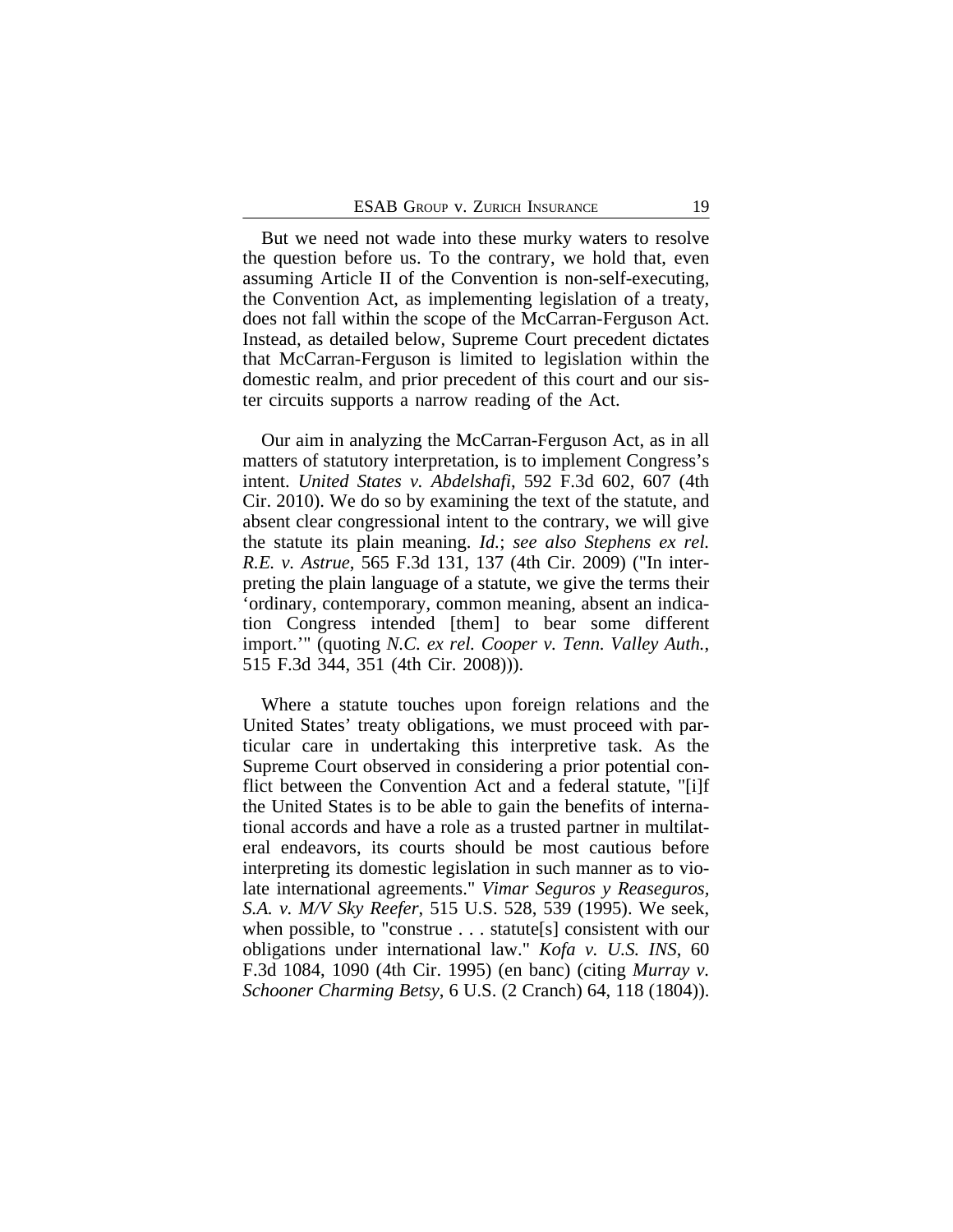But we need not wade into these murky waters to resolve the question before us. To the contrary, we hold that, even assuming Article II of the Convention is non-self-executing, the Convention Act, as implementing legislation of a treaty, does not fall within the scope of the McCarran-Ferguson Act. Instead, as detailed below, Supreme Court precedent dictates that McCarran-Ferguson is limited to legislation within the domestic realm, and prior precedent of this court and our sister circuits supports a narrow reading of the Act.

Our aim in analyzing the McCarran-Ferguson Act, as in all matters of statutory interpretation, is to implement Congress's intent. *United States v. Abdelshafi*, 592 F.3d 602, 607 (4th Cir. 2010). We do so by examining the text of the statute, and absent clear congressional intent to the contrary, we will give the statute its plain meaning. *Id.*; *see also Stephens ex rel. R.E. v. Astrue*, 565 F.3d 131, 137 (4th Cir. 2009) ("In interpreting the plain language of a statute, we give the terms their 'ordinary, contemporary, common meaning, absent an indication Congress intended [them] to bear some different import.'" (quoting *N.C. ex rel. Cooper v. Tenn. Valley Auth.*, 515 F.3d 344, 351 (4th Cir. 2008))).

Where a statute touches upon foreign relations and the United States' treaty obligations, we must proceed with particular care in undertaking this interpretive task. As the Supreme Court observed in considering a prior potential conflict between the Convention Act and a federal statute, "[i]f the United States is to be able to gain the benefits of international accords and have a role as a trusted partner in multilateral endeavors, its courts should be most cautious before interpreting its domestic legislation in such manner as to violate international agreements." *Vimar Seguros y Reaseguros, S.A. v. M/V Sky Reefer*, 515 U.S. 528, 539 (1995). We seek, when possible, to "construe . . . statute[s] consistent with our obligations under international law." *Kofa v. U.S. INS*, 60 F.3d 1084, 1090 (4th Cir. 1995) (en banc) (citing *Murray v. Schooner Charming Betsy*, 6 U.S. (2 Cranch) 64, 118 (1804)).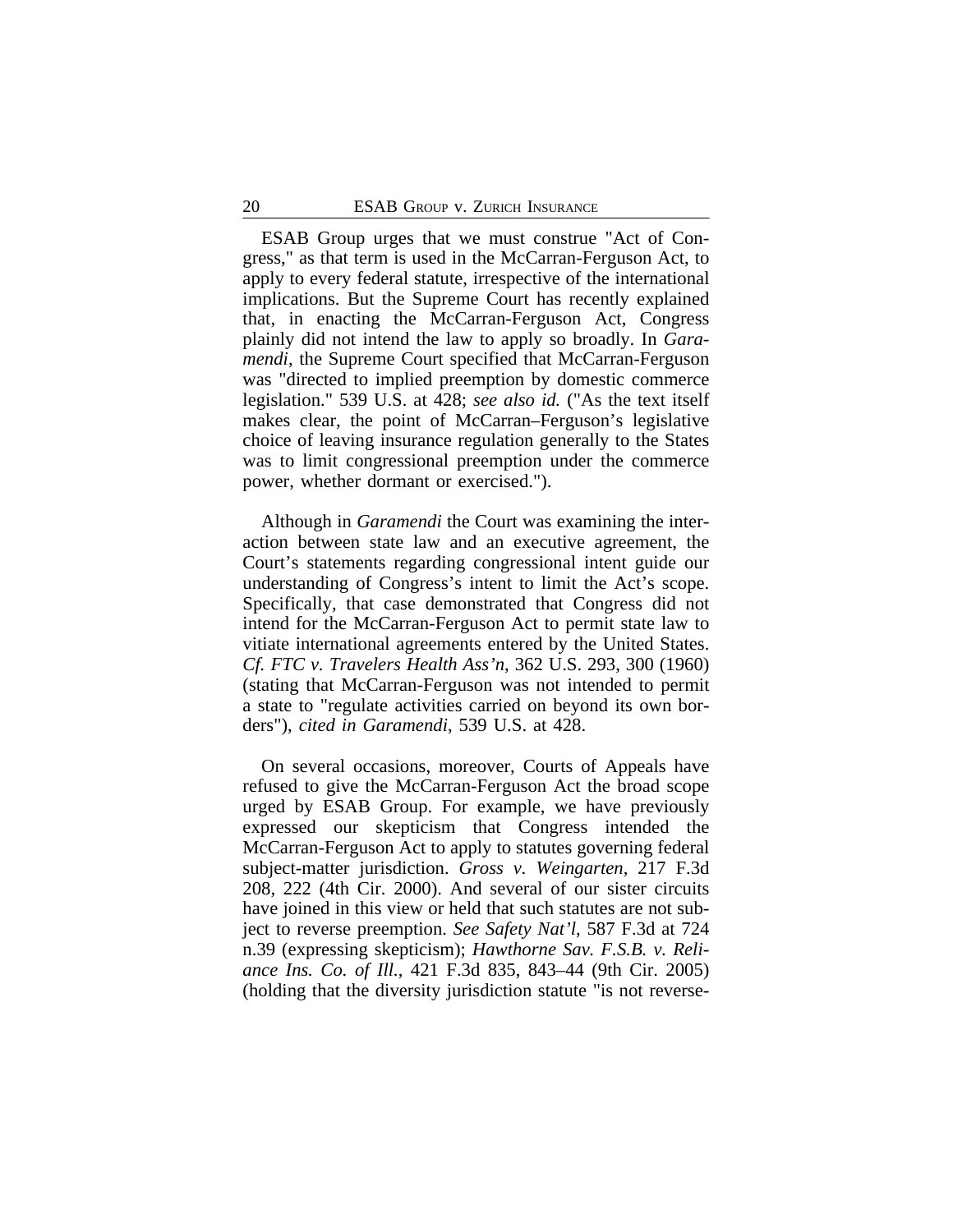ESAB Group urges that we must construe "Act of Congress," as that term is used in the McCarran-Ferguson Act, to apply to every federal statute, irrespective of the international implications. But the Supreme Court has recently explained that, in enacting the McCarran-Ferguson Act, Congress plainly did not intend the law to apply so broadly. In *Garamendi*, the Supreme Court specified that McCarran-Ferguson was "directed to implied preemption by domestic commerce legislation." 539 U.S. at 428; *see also id.* ("As the text itself makes clear, the point of McCarran–Ferguson's legislative choice of leaving insurance regulation generally to the States was to limit congressional preemption under the commerce power, whether dormant or exercised.").

Although in *Garamendi* the Court was examining the interaction between state law and an executive agreement, the Court's statements regarding congressional intent guide our understanding of Congress's intent to limit the Act's scope. Specifically, that case demonstrated that Congress did not intend for the McCarran-Ferguson Act to permit state law to vitiate international agreements entered by the United States. *Cf. FTC v. Travelers Health Ass'n*, 362 U.S. 293, 300 (1960) (stating that McCarran-Ferguson was not intended to permit a state to "regulate activities carried on beyond its own borders"), *cited in Garamendi*, 539 U.S. at 428.

On several occasions, moreover, Courts of Appeals have refused to give the McCarran-Ferguson Act the broad scope urged by ESAB Group. For example, we have previously expressed our skepticism that Congress intended the McCarran-Ferguson Act to apply to statutes governing federal subject-matter jurisdiction. *Gross v. Weingarten*, 217 F.3d 208, 222 (4th Cir. 2000). And several of our sister circuits have joined in this view or held that such statutes are not subject to reverse preemption. *See Safety Nat'l*, 587 F.3d at 724 n.39 (expressing skepticism); *Hawthorne Sav. F.S.B. v. Reliance Ins. Co. of Ill.*, 421 F.3d 835, 843–44 (9th Cir. 2005) (holding that the diversity jurisdiction statute "is not reverse-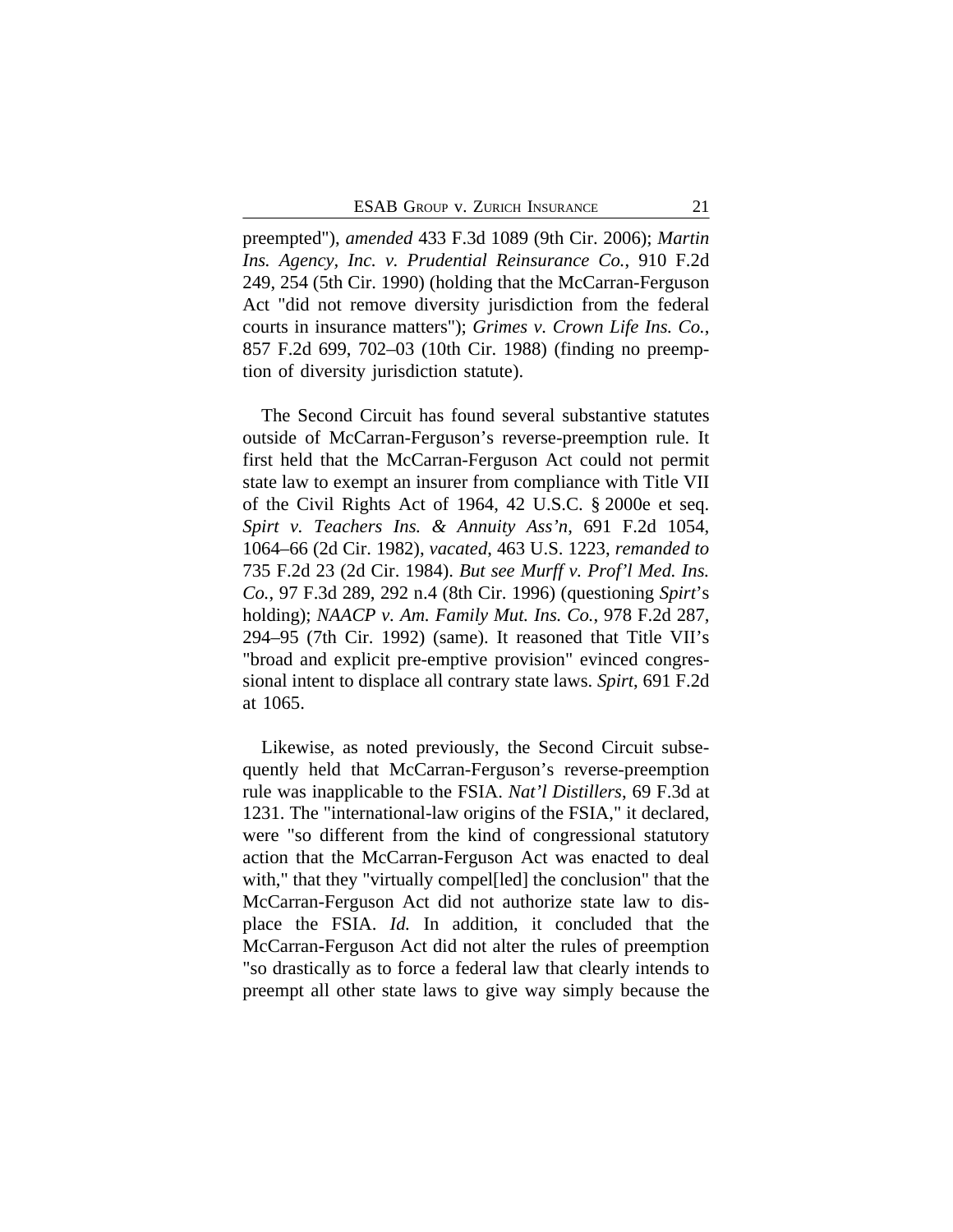preempted"), *amended* 433 F.3d 1089 (9th Cir. 2006); *Martin Ins. Agency, Inc. v. Prudential Reinsurance Co.*, 910 F.2d 249, 254 (5th Cir. 1990) (holding that the McCarran-Ferguson Act "did not remove diversity jurisdiction from the federal courts in insurance matters"); *Grimes v. Crown Life Ins. Co.*, 857 F.2d 699, 702–03 (10th Cir. 1988) (finding no preemption of diversity jurisdiction statute).

The Second Circuit has found several substantive statutes outside of McCarran-Ferguson's reverse-preemption rule. It first held that the McCarran-Ferguson Act could not permit state law to exempt an insurer from compliance with Title VII of the Civil Rights Act of 1964, 42 U.S.C. § 2000e et seq. *Spirt v. Teachers Ins. & Annuity Ass'n*, 691 F.2d 1054, 1064–66 (2d Cir. 1982), *vacated*, 463 U.S. 1223, *remanded to* 735 F.2d 23 (2d Cir. 1984). *But see Murff v. Prof'l Med. Ins. Co.*, 97 F.3d 289, 292 n.4 (8th Cir. 1996) (questioning *Spirt*'s holding); *NAACP v. Am. Family Mut. Ins. Co.*, 978 F.2d 287, 294–95 (7th Cir. 1992) (same). It reasoned that Title VII's "broad and explicit pre-emptive provision" evinced congressional intent to displace all contrary state laws. *Spirt*, 691 F.2d at 1065.

Likewise, as noted previously, the Second Circuit subsequently held that McCarran-Ferguson's reverse-preemption rule was inapplicable to the FSIA. *Nat'l Distillers*, 69 F.3d at 1231. The "international-law origins of the FSIA," it declared, were "so different from the kind of congressional statutory action that the McCarran-Ferguson Act was enacted to deal with," that they "virtually compel[led] the conclusion" that the McCarran-Ferguson Act did not authorize state law to displace the FSIA. *Id.* In addition, it concluded that the McCarran-Ferguson Act did not alter the rules of preemption "so drastically as to force a federal law that clearly intends to preempt all other state laws to give way simply because the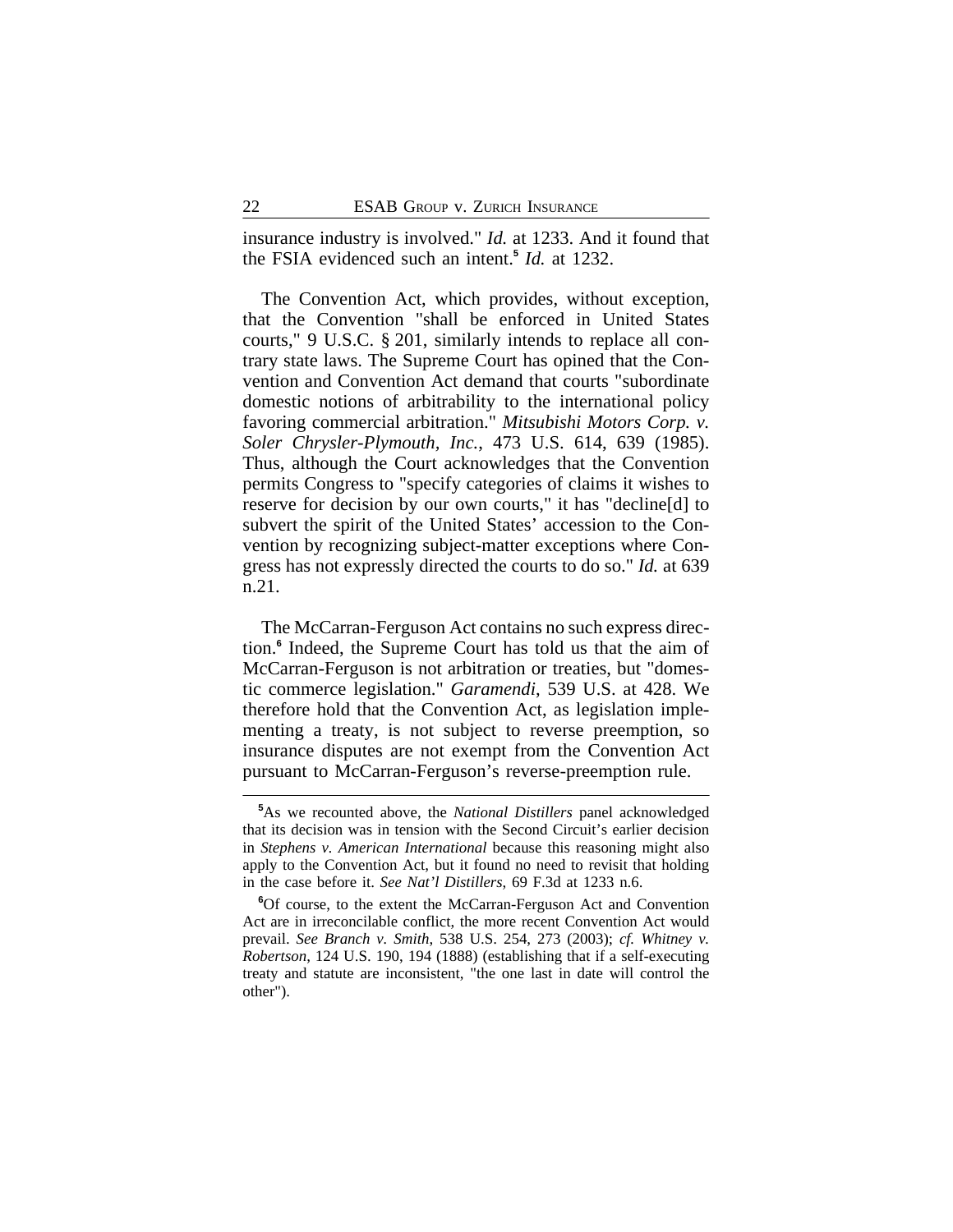insurance industry is involved." *Id.* at 1233. And it found that the FSIA evidenced such an intent.**<sup>5</sup>** *Id.* at 1232.

The Convention Act, which provides, without exception, that the Convention "shall be enforced in United States courts," 9 U.S.C. § 201, similarly intends to replace all contrary state laws. The Supreme Court has opined that the Convention and Convention Act demand that courts "subordinate domestic notions of arbitrability to the international policy favoring commercial arbitration." *Mitsubishi Motors Corp. v. Soler Chrysler-Plymouth, Inc.*, 473 U.S. 614, 639 (1985). Thus, although the Court acknowledges that the Convention permits Congress to "specify categories of claims it wishes to reserve for decision by our own courts," it has "decline[d] to subvert the spirit of the United States' accession to the Convention by recognizing subject-matter exceptions where Congress has not expressly directed the courts to do so." *Id.* at 639 n.21.

The McCarran-Ferguson Act contains no such express direction.**<sup>6</sup>** Indeed, the Supreme Court has told us that the aim of McCarran-Ferguson is not arbitration or treaties, but "domestic commerce legislation." *Garamendi*, 539 U.S. at 428. We therefore hold that the Convention Act, as legislation implementing a treaty, is not subject to reverse preemption, so insurance disputes are not exempt from the Convention Act pursuant to McCarran-Ferguson's reverse-preemption rule.

**<sup>5</sup>**As we recounted above, the *National Distillers* panel acknowledged that its decision was in tension with the Second Circuit's earlier decision in *Stephens v. American International* because this reasoning might also apply to the Convention Act, but it found no need to revisit that holding in the case before it. *See Nat'l Distillers*, 69 F.3d at 1233 n.6.

**<sup>6</sup>**Of course, to the extent the McCarran-Ferguson Act and Convention Act are in irreconcilable conflict, the more recent Convention Act would prevail. *See Branch v. Smith*, 538 U.S. 254, 273 (2003); *cf. Whitney v. Robertson*, 124 U.S. 190, 194 (1888) (establishing that if a self-executing treaty and statute are inconsistent, "the one last in date will control the other").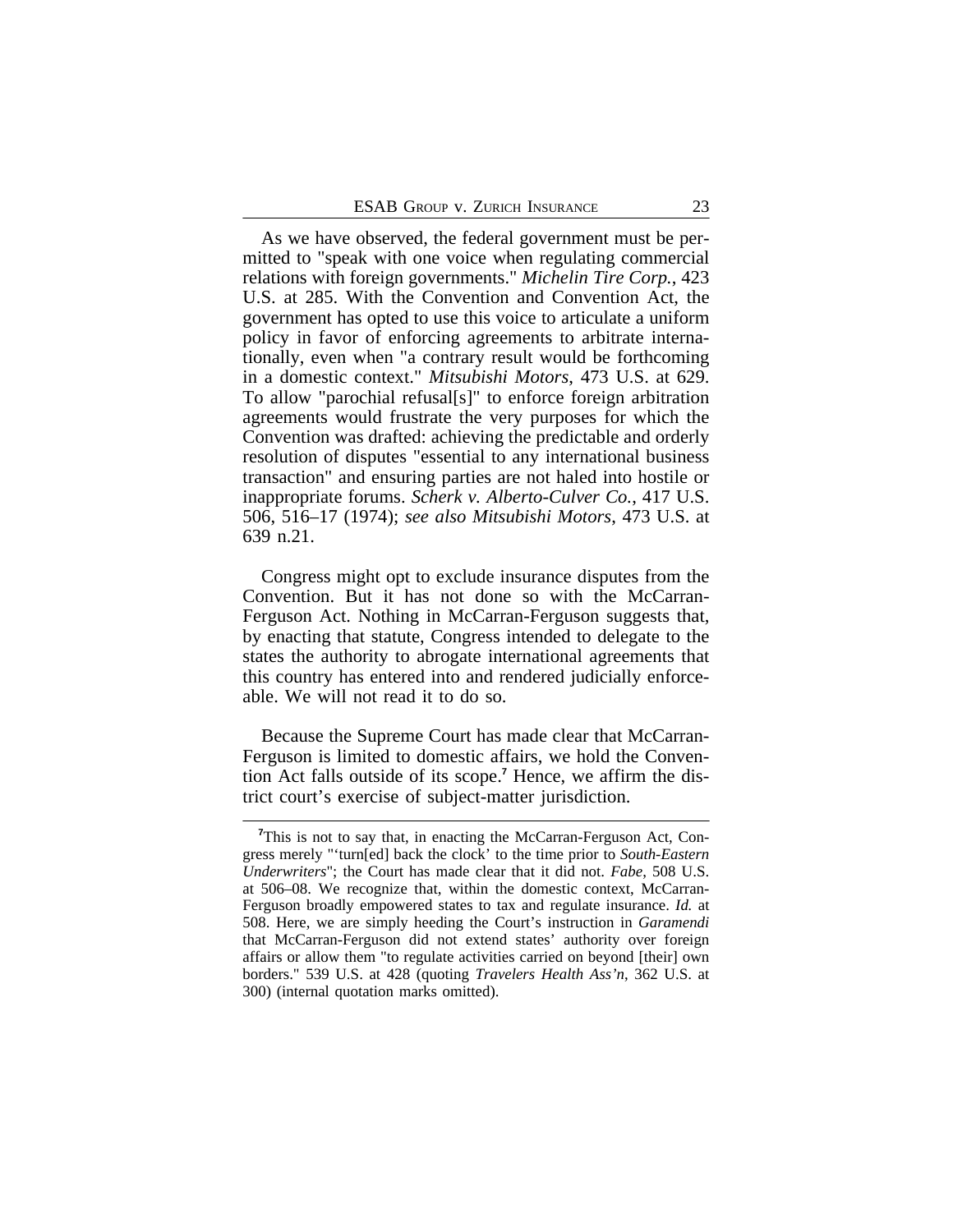As we have observed, the federal government must be permitted to "speak with one voice when regulating commercial relations with foreign governments." *Michelin Tire Corp.*, 423 U.S. at 285. With the Convention and Convention Act, the government has opted to use this voice to articulate a uniform policy in favor of enforcing agreements to arbitrate internationally, even when "a contrary result would be forthcoming in a domestic context." *Mitsubishi Motors*, 473 U.S. at 629. To allow "parochial refusal[s]" to enforce foreign arbitration agreements would frustrate the very purposes for which the Convention was drafted: achieving the predictable and orderly resolution of disputes "essential to any international business transaction" and ensuring parties are not haled into hostile or inappropriate forums. *Scherk v. Alberto-Culver Co.*, 417 U.S. 506, 516–17 (1974); *see also Mitsubishi Motors*, 473 U.S. at 639 n.21.

Congress might opt to exclude insurance disputes from the Convention. But it has not done so with the McCarran-Ferguson Act. Nothing in McCarran-Ferguson suggests that, by enacting that statute, Congress intended to delegate to the states the authority to abrogate international agreements that this country has entered into and rendered judicially enforceable. We will not read it to do so.

Because the Supreme Court has made clear that McCarran-Ferguson is limited to domestic affairs, we hold the Convention Act falls outside of its scope.**<sup>7</sup>** Hence, we affirm the district court's exercise of subject-matter jurisdiction.

**<sup>7</sup>**This is not to say that, in enacting the McCarran-Ferguson Act, Congress merely "'turn[ed] back the clock' to the time prior to *South-Eastern Underwriters*"; the Court has made clear that it did not. *Fabe*, 508 U.S. at 506–08. We recognize that, within the domestic context, McCarran-Ferguson broadly empowered states to tax and regulate insurance. *Id.* at 508. Here, we are simply heeding the Court's instruction in *Garamendi* that McCarran-Ferguson did not extend states' authority over foreign affairs or allow them "to regulate activities carried on beyond [their] own borders." 539 U.S. at 428 (quoting *Travelers Health Ass'n*, 362 U.S. at 300) (internal quotation marks omitted).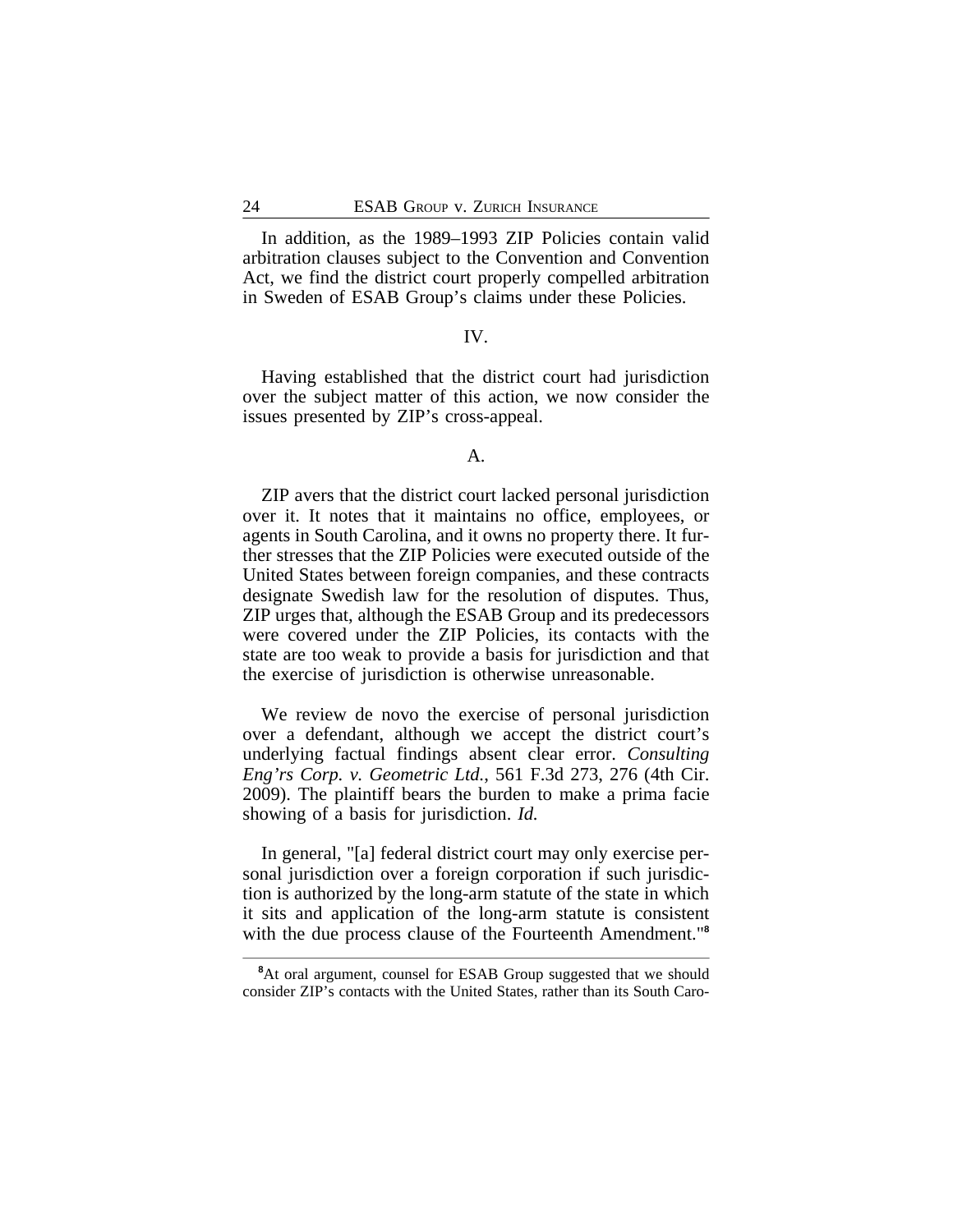In addition, as the 1989–1993 ZIP Policies contain valid arbitration clauses subject to the Convention and Convention Act, we find the district court properly compelled arbitration in Sweden of ESAB Group's claims under these Policies.

#### IV.

Having established that the district court had jurisdiction over the subject matter of this action, we now consider the issues presented by ZIP's cross-appeal.

## A.

ZIP avers that the district court lacked personal jurisdiction over it. It notes that it maintains no office, employees, or agents in South Carolina, and it owns no property there. It further stresses that the ZIP Policies were executed outside of the United States between foreign companies, and these contracts designate Swedish law for the resolution of disputes. Thus, ZIP urges that, although the ESAB Group and its predecessors were covered under the ZIP Policies, its contacts with the state are too weak to provide a basis for jurisdiction and that the exercise of jurisdiction is otherwise unreasonable.

We review de novo the exercise of personal jurisdiction over a defendant, although we accept the district court's underlying factual findings absent clear error. *Consulting Eng'rs Corp. v. Geometric Ltd.*, 561 F.3d 273, 276 (4th Cir. 2009). The plaintiff bears the burden to make a prima facie showing of a basis for jurisdiction. *Id.*

In general, "[a] federal district court may only exercise personal jurisdiction over a foreign corporation if such jurisdiction is authorized by the long-arm statute of the state in which it sits and application of the long-arm statute is consistent with the due process clause of the Fourteenth Amendment."**<sup>8</sup>**

<sup>&</sup>lt;sup>8</sup>At oral argument, counsel for ESAB Group suggested that we should consider ZIP's contacts with the United States, rather than its South Caro-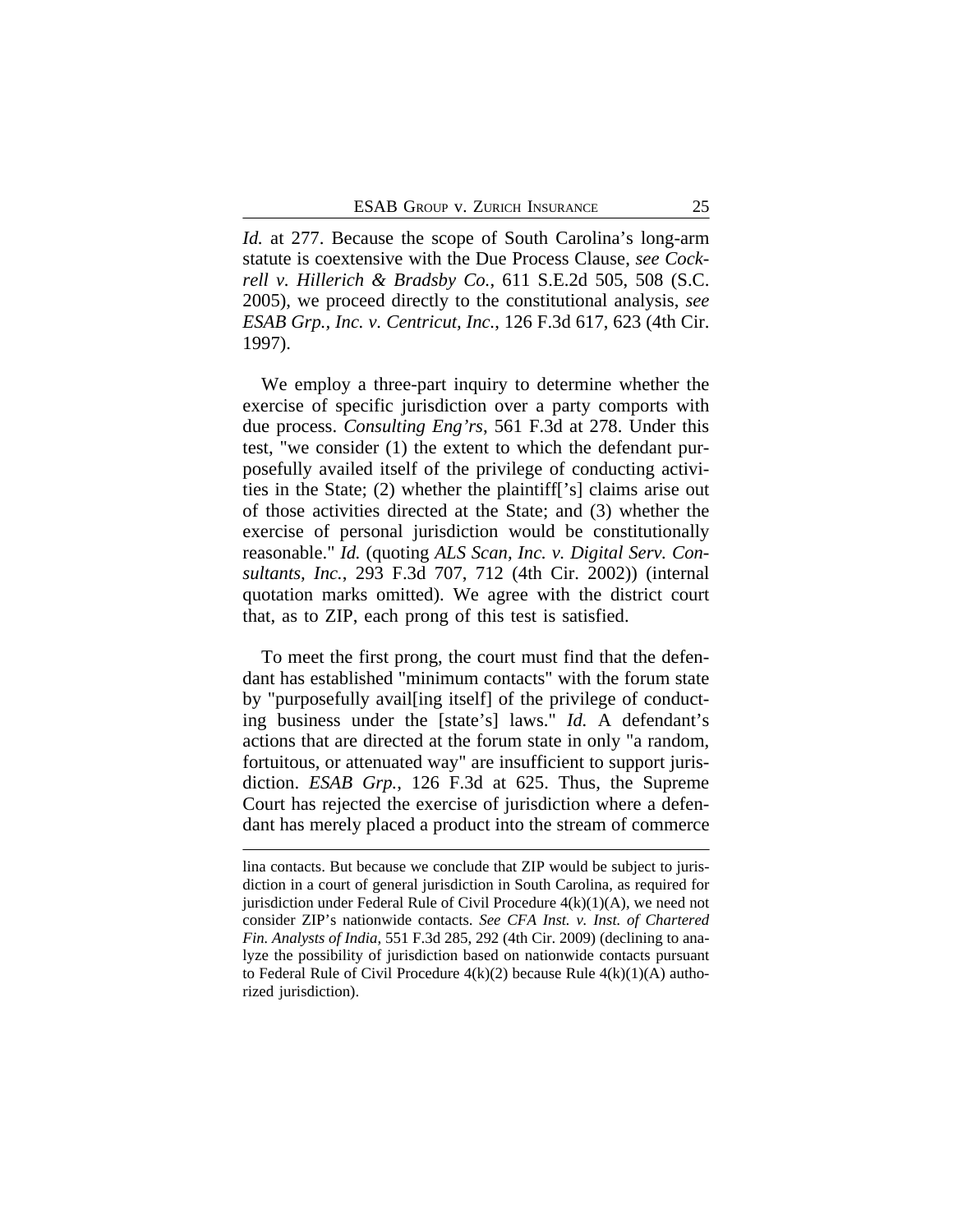*Id.* at 277. Because the scope of South Carolina's long-arm statute is coextensive with the Due Process Clause, *see Cockrell v. Hillerich & Bradsby Co.*, 611 S.E.2d 505, 508 (S.C. 2005), we proceed directly to the constitutional analysis, *see ESAB Grp., Inc. v. Centricut, Inc.*, 126 F.3d 617, 623 (4th Cir. 1997).

We employ a three-part inquiry to determine whether the exercise of specific jurisdiction over a party comports with due process. *Consulting Eng'rs*, 561 F.3d at 278. Under this test, "we consider (1) the extent to which the defendant purposefully availed itself of the privilege of conducting activities in the State; (2) whether the plaintiff['s] claims arise out of those activities directed at the State; and (3) whether the exercise of personal jurisdiction would be constitutionally reasonable." *Id.* (quoting *ALS Scan, Inc. v. Digital Serv. Consultants, Inc.*, 293 F.3d 707, 712 (4th Cir. 2002)) (internal quotation marks omitted). We agree with the district court that, as to ZIP, each prong of this test is satisfied.

To meet the first prong, the court must find that the defendant has established "minimum contacts" with the forum state by "purposefully avail[ing itself] of the privilege of conducting business under the [state's] laws." *Id.* A defendant's actions that are directed at the forum state in only "a random, fortuitous, or attenuated way" are insufficient to support jurisdiction. *ESAB Grp.*, 126 F.3d at 625. Thus, the Supreme Court has rejected the exercise of jurisdiction where a defendant has merely placed a product into the stream of commerce

lina contacts. But because we conclude that ZIP would be subject to jurisdiction in a court of general jurisdiction in South Carolina, as required for jurisdiction under Federal Rule of Civil Procedure  $4(k)(1)(A)$ , we need not consider ZIP's nationwide contacts. *See CFA Inst. v. Inst. of Chartered Fin. Analysts of India*, 551 F.3d 285, 292 (4th Cir. 2009) (declining to analyze the possibility of jurisdiction based on nationwide contacts pursuant to Federal Rule of Civil Procedure  $4(k)(2)$  because Rule  $4(k)(1)(A)$  authorized jurisdiction).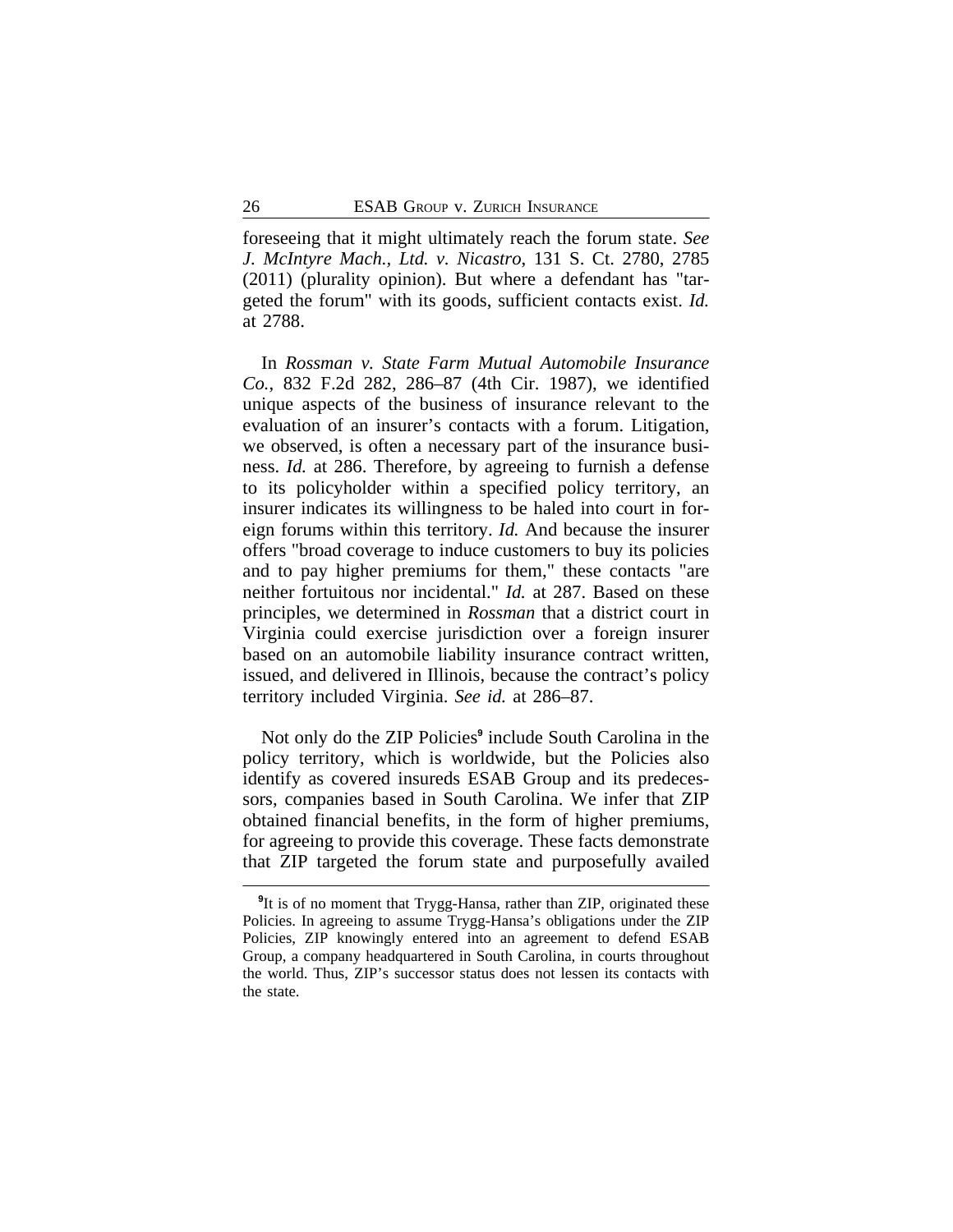foreseeing that it might ultimately reach the forum state. *See J. McIntyre Mach., Ltd. v. Nicastro*, 131 S. Ct. 2780, 2785 (2011) (plurality opinion). But where a defendant has "targeted the forum" with its goods, sufficient contacts exist. *Id.* at 2788.

In *Rossman v. State Farm Mutual Automobile Insurance Co.*, 832 F.2d 282, 286–87 (4th Cir. 1987), we identified unique aspects of the business of insurance relevant to the evaluation of an insurer's contacts with a forum. Litigation, we observed, is often a necessary part of the insurance business. *Id.* at 286. Therefore, by agreeing to furnish a defense to its policyholder within a specified policy territory, an insurer indicates its willingness to be haled into court in foreign forums within this territory. *Id.* And because the insurer offers "broad coverage to induce customers to buy its policies and to pay higher premiums for them," these contacts "are neither fortuitous nor incidental." *Id.* at 287. Based on these principles, we determined in *Rossman* that a district court in Virginia could exercise jurisdiction over a foreign insurer based on an automobile liability insurance contract written, issued, and delivered in Illinois, because the contract's policy territory included Virginia. *See id.* at 286–87.

Not only do the ZIP Policies**<sup>9</sup>** include South Carolina in the policy territory, which is worldwide, but the Policies also identify as covered insureds ESAB Group and its predecessors, companies based in South Carolina. We infer that ZIP obtained financial benefits, in the form of higher premiums, for agreeing to provide this coverage. These facts demonstrate that ZIP targeted the forum state and purposefully availed

<sup>&</sup>lt;sup>9</sup>It is of no moment that Trygg-Hansa, rather than ZIP, originated these Policies. In agreeing to assume Trygg-Hansa's obligations under the ZIP Policies, ZIP knowingly entered into an agreement to defend ESAB Group, a company headquartered in South Carolina, in courts throughout the world. Thus, ZIP's successor status does not lessen its contacts with the state.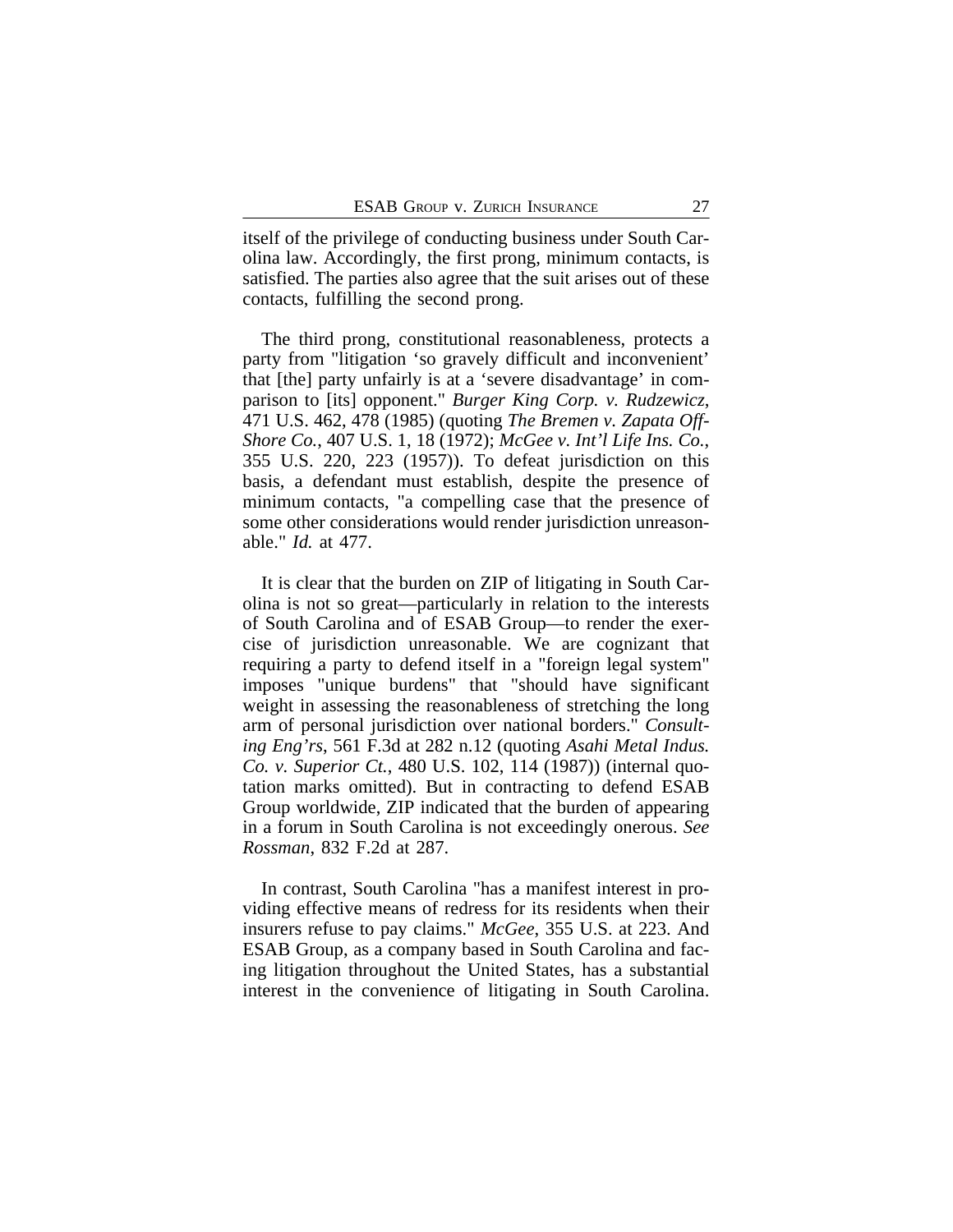itself of the privilege of conducting business under South Carolina law. Accordingly, the first prong, minimum contacts, is satisfied. The parties also agree that the suit arises out of these contacts, fulfilling the second prong.

The third prong, constitutional reasonableness, protects a party from "litigation 'so gravely difficult and inconvenient' that [the] party unfairly is at a 'severe disadvantage' in comparison to [its] opponent." *Burger King Corp. v. Rudzewicz*, 471 U.S. 462, 478 (1985) (quoting *The Bremen v. Zapata Off-Shore Co.*, 407 U.S. 1, 18 (1972); *McGee v. Int'l Life Ins. Co.*, 355 U.S. 220, 223 (1957)). To defeat jurisdiction on this basis, a defendant must establish, despite the presence of minimum contacts, "a compelling case that the presence of some other considerations would render jurisdiction unreasonable." *Id.* at 477.

It is clear that the burden on ZIP of litigating in South Carolina is not so great—particularly in relation to the interests of South Carolina and of ESAB Group—to render the exercise of jurisdiction unreasonable. We are cognizant that requiring a party to defend itself in a "foreign legal system" imposes "unique burdens" that "should have significant weight in assessing the reasonableness of stretching the long arm of personal jurisdiction over national borders." *Consulting Eng'rs*, 561 F.3d at 282 n.12 (quoting *Asahi Metal Indus. Co. v. Superior Ct.*, 480 U.S. 102, 114 (1987)) (internal quotation marks omitted). But in contracting to defend ESAB Group worldwide, ZIP indicated that the burden of appearing in a forum in South Carolina is not exceedingly onerous. *See Rossman*, 832 F.2d at 287.

In contrast, South Carolina "has a manifest interest in providing effective means of redress for its residents when their insurers refuse to pay claims." *McGee*, 355 U.S. at 223. And ESAB Group, as a company based in South Carolina and facing litigation throughout the United States, has a substantial interest in the convenience of litigating in South Carolina.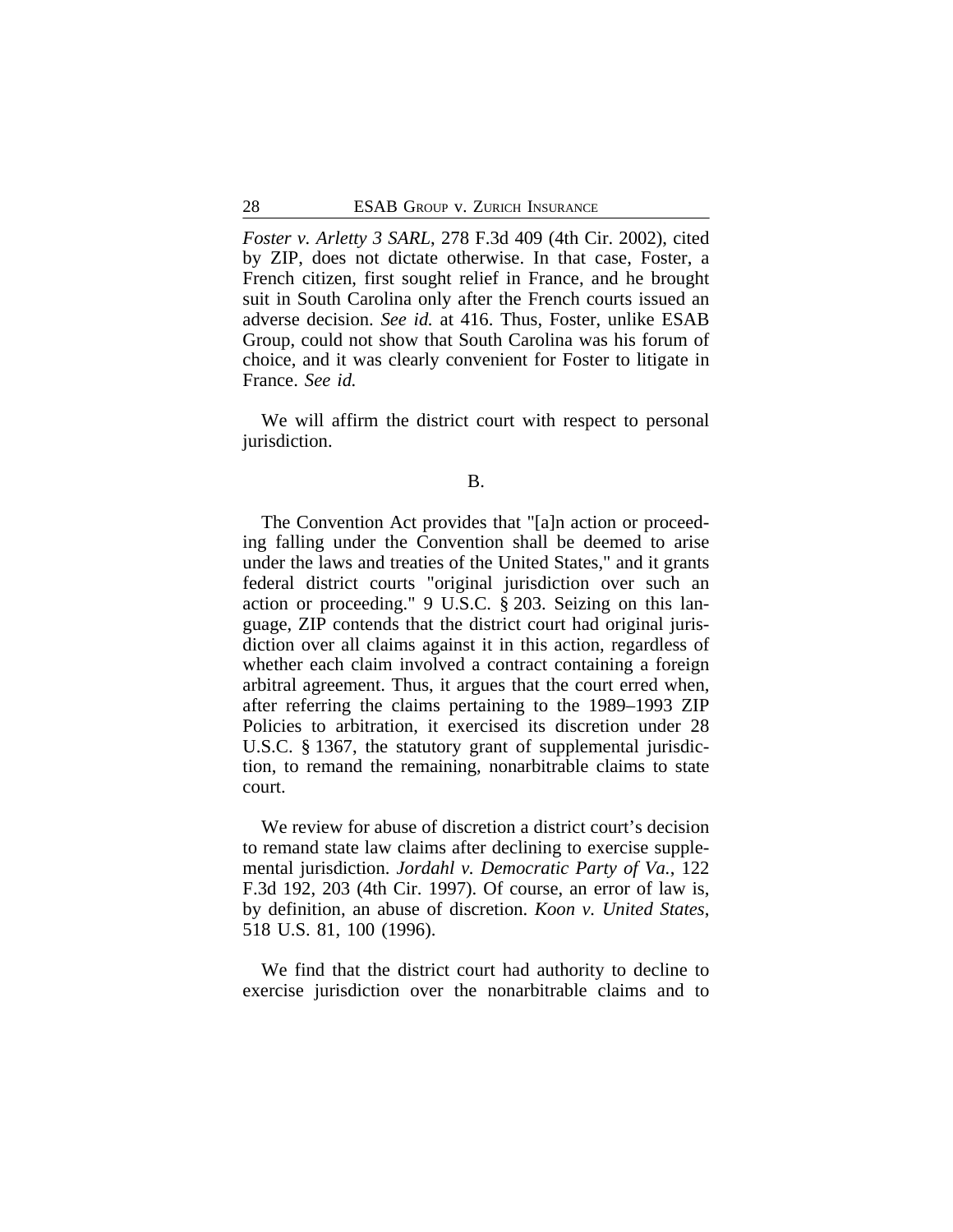*Foster v. Arletty 3 SARL*, 278 F.3d 409 (4th Cir. 2002), cited by ZIP, does not dictate otherwise. In that case, Foster, a French citizen, first sought relief in France, and he brought suit in South Carolina only after the French courts issued an adverse decision. *See id.* at 416. Thus, Foster, unlike ESAB Group, could not show that South Carolina was his forum of choice, and it was clearly convenient for Foster to litigate in France. *See id.*

We will affirm the district court with respect to personal jurisdiction.

## B.

The Convention Act provides that "[a]n action or proceeding falling under the Convention shall be deemed to arise under the laws and treaties of the United States," and it grants federal district courts "original jurisdiction over such an action or proceeding." 9 U.S.C. § 203. Seizing on this language, ZIP contends that the district court had original jurisdiction over all claims against it in this action, regardless of whether each claim involved a contract containing a foreign arbitral agreement. Thus, it argues that the court erred when, after referring the claims pertaining to the 1989–1993 ZIP Policies to arbitration, it exercised its discretion under 28 U.S.C. § 1367, the statutory grant of supplemental jurisdiction, to remand the remaining, nonarbitrable claims to state court.

We review for abuse of discretion a district court's decision to remand state law claims after declining to exercise supplemental jurisdiction. *Jordahl v. Democratic Party of Va.*, 122 F.3d 192, 203 (4th Cir. 1997). Of course, an error of law is, by definition, an abuse of discretion. *Koon v. United States*, 518 U.S. 81, 100 (1996).

We find that the district court had authority to decline to exercise jurisdiction over the nonarbitrable claims and to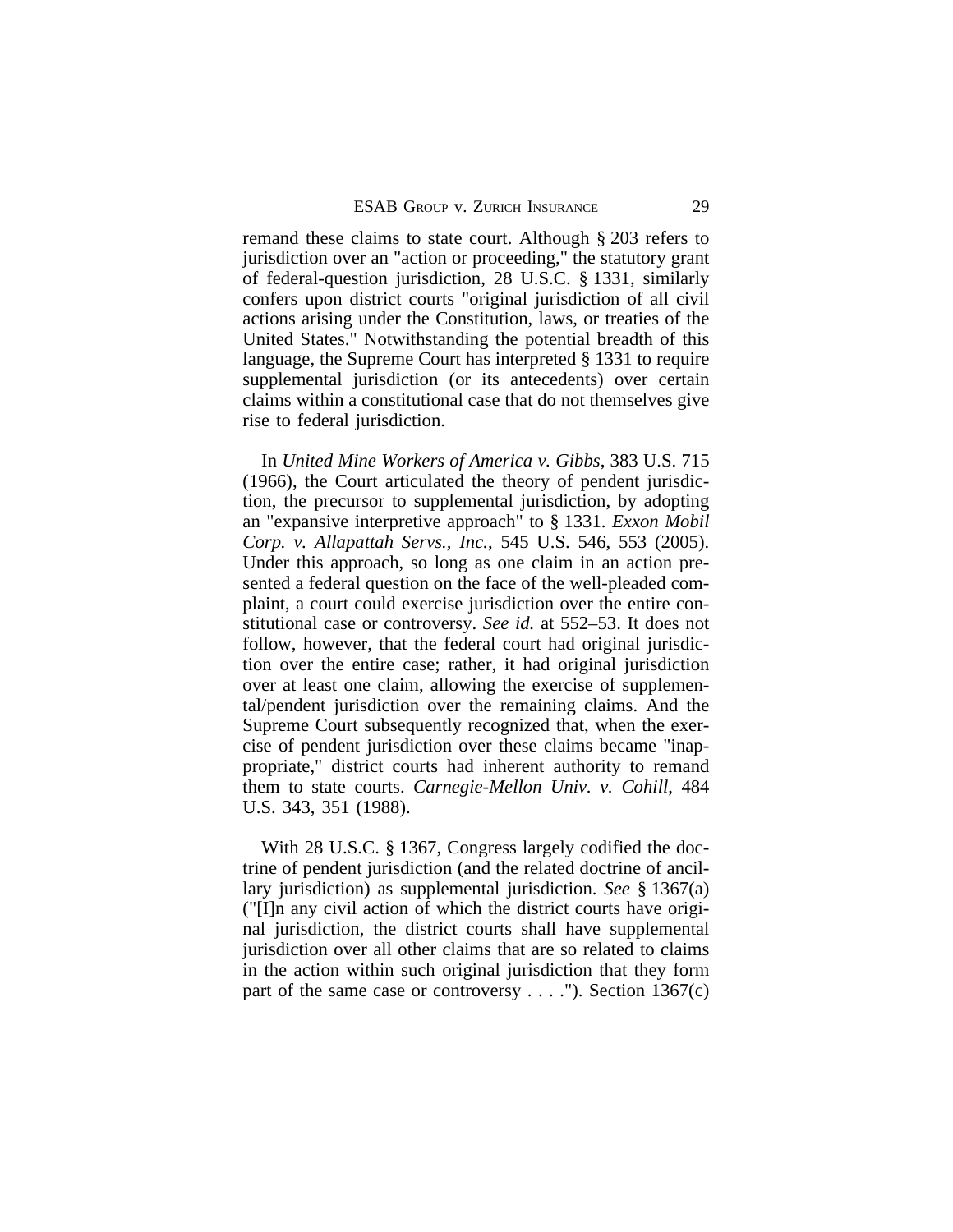remand these claims to state court. Although § 203 refers to jurisdiction over an "action or proceeding," the statutory grant of federal-question jurisdiction, 28 U.S.C. § 1331, similarly confers upon district courts "original jurisdiction of all civil actions arising under the Constitution, laws, or treaties of the United States." Notwithstanding the potential breadth of this language, the Supreme Court has interpreted § 1331 to require supplemental jurisdiction (or its antecedents) over certain claims within a constitutional case that do not themselves give rise to federal jurisdiction.

In *United Mine Workers of America v. Gibbs*, 383 U.S. 715 (1966), the Court articulated the theory of pendent jurisdiction, the precursor to supplemental jurisdiction, by adopting an "expansive interpretive approach" to § 1331. *Exxon Mobil Corp. v. Allapattah Servs., Inc.*, 545 U.S. 546, 553 (2005). Under this approach, so long as one claim in an action presented a federal question on the face of the well-pleaded complaint, a court could exercise jurisdiction over the entire constitutional case or controversy. *See id.* at 552–53. It does not follow, however, that the federal court had original jurisdiction over the entire case; rather, it had original jurisdiction over at least one claim, allowing the exercise of supplemental/pendent jurisdiction over the remaining claims. And the Supreme Court subsequently recognized that, when the exercise of pendent jurisdiction over these claims became "inappropriate," district courts had inherent authority to remand them to state courts. *Carnegie-Mellon Univ. v. Cohill*, 484 U.S. 343, 351 (1988).

With 28 U.S.C. § 1367, Congress largely codified the doctrine of pendent jurisdiction (and the related doctrine of ancillary jurisdiction) as supplemental jurisdiction. *See* § 1367(a) ("[I]n any civil action of which the district courts have original jurisdiction, the district courts shall have supplemental jurisdiction over all other claims that are so related to claims in the action within such original jurisdiction that they form part of the same case or controversy  $\dots$ "). Section 1367(c)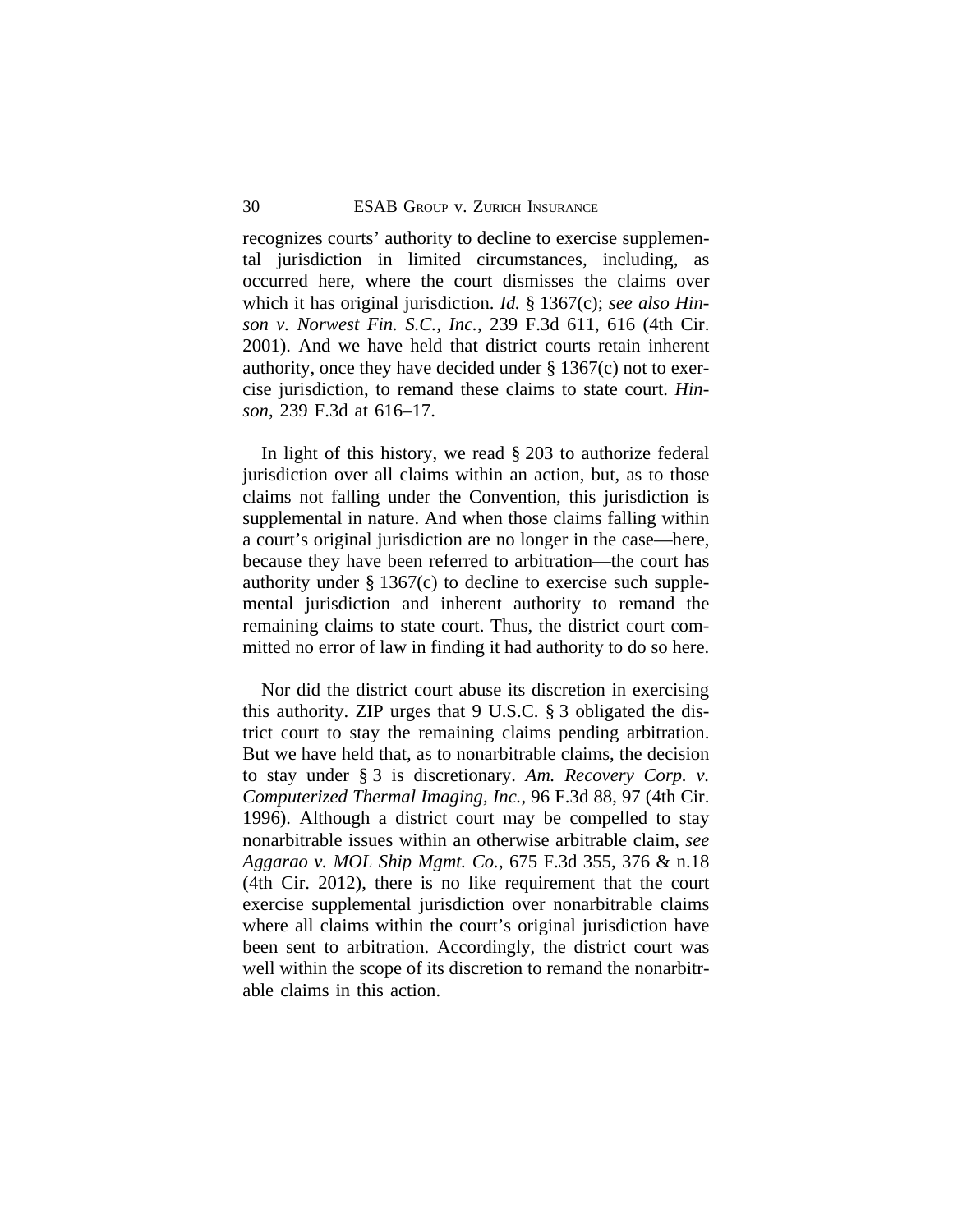recognizes courts' authority to decline to exercise supplemental jurisdiction in limited circumstances, including, as occurred here, where the court dismisses the claims over which it has original jurisdiction. *Id.* § 1367(c); *see also Hinson v. Norwest Fin. S.C., Inc.*, 239 F.3d 611, 616 (4th Cir. 2001). And we have held that district courts retain inherent authority, once they have decided under § 1367(c) not to exercise jurisdiction, to remand these claims to state court. *Hinson*, 239 F.3d at 616–17.

In light of this history, we read § 203 to authorize federal jurisdiction over all claims within an action, but, as to those claims not falling under the Convention, this jurisdiction is supplemental in nature. And when those claims falling within a court's original jurisdiction are no longer in the case—here, because they have been referred to arbitration—the court has authority under § 1367(c) to decline to exercise such supplemental jurisdiction and inherent authority to remand the remaining claims to state court. Thus, the district court committed no error of law in finding it had authority to do so here.

Nor did the district court abuse its discretion in exercising this authority. ZIP urges that 9 U.S.C. § 3 obligated the district court to stay the remaining claims pending arbitration. But we have held that, as to nonarbitrable claims, the decision to stay under § 3 is discretionary. *Am. Recovery Corp. v. Computerized Thermal Imaging, Inc.*, 96 F.3d 88, 97 (4th Cir. 1996). Although a district court may be compelled to stay nonarbitrable issues within an otherwise arbitrable claim, *see Aggarao v. MOL Ship Mgmt. Co.*, 675 F.3d 355, 376 & n.18 (4th Cir. 2012), there is no like requirement that the court exercise supplemental jurisdiction over nonarbitrable claims where all claims within the court's original jurisdiction have been sent to arbitration. Accordingly, the district court was well within the scope of its discretion to remand the nonarbitrable claims in this action.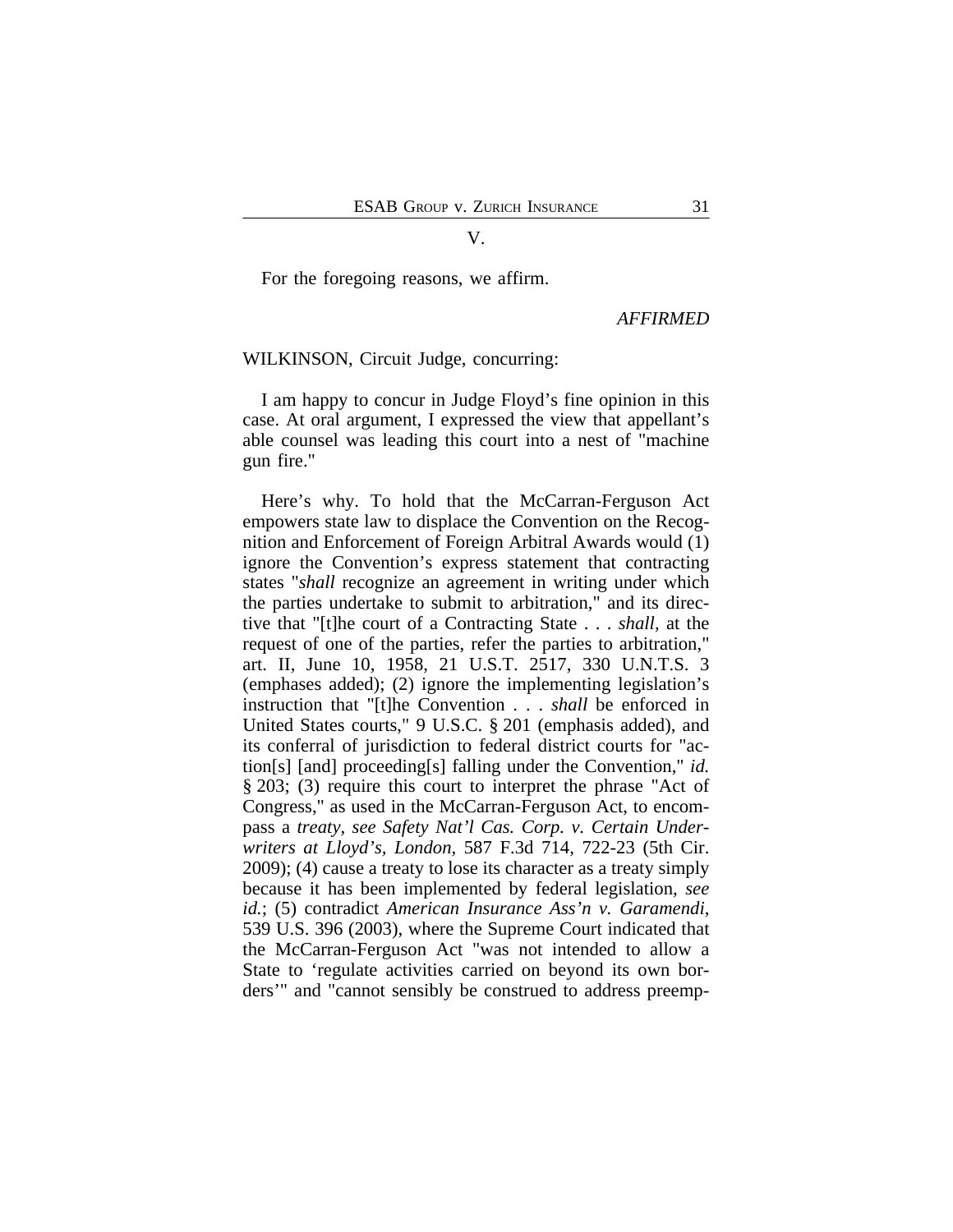V.

For the foregoing reasons, we affirm.

*AFFIRMED*

## WILKINSON, Circuit Judge, concurring:

I am happy to concur in Judge Floyd's fine opinion in this case. At oral argument, I expressed the view that appellant's able counsel was leading this court into a nest of "machine gun fire."

Here's why. To hold that the McCarran-Ferguson Act empowers state law to displace the Convention on the Recognition and Enforcement of Foreign Arbitral Awards would (1) ignore the Convention's express statement that contracting states "*shall* recognize an agreement in writing under which the parties undertake to submit to arbitration," and its directive that "[t]he court of a Contracting State . . . *shall*, at the request of one of the parties, refer the parties to arbitration," art. II, June 10, 1958, 21 U.S.T. 2517, 330 U.N.T.S. 3 (emphases added); (2) ignore the implementing legislation's instruction that "[t]he Convention . . . *shall* be enforced in United States courts," 9 U.S.C. § 201 (emphasis added), and its conferral of jurisdiction to federal district courts for "action[s] [and] proceeding[s] falling under the Convention," *id.* § 203; (3) require this court to interpret the phrase "Act of Congress," as used in the McCarran-Ferguson Act, to encompass a *treaty*, *see Safety Nat'l Cas. Corp. v. Certain Underwriters at Lloyd's, London*, 587 F.3d 714, 722-23 (5th Cir. 2009); (4) cause a treaty to lose its character as a treaty simply because it has been implemented by federal legislation, *see id.*; (5) contradict *American Insurance Ass'n v. Garamendi*, 539 U.S. 396 (2003), where the Supreme Court indicated that the McCarran-Ferguson Act "was not intended to allow a State to 'regulate activities carried on beyond its own borders'" and "cannot sensibly be construed to address preemp